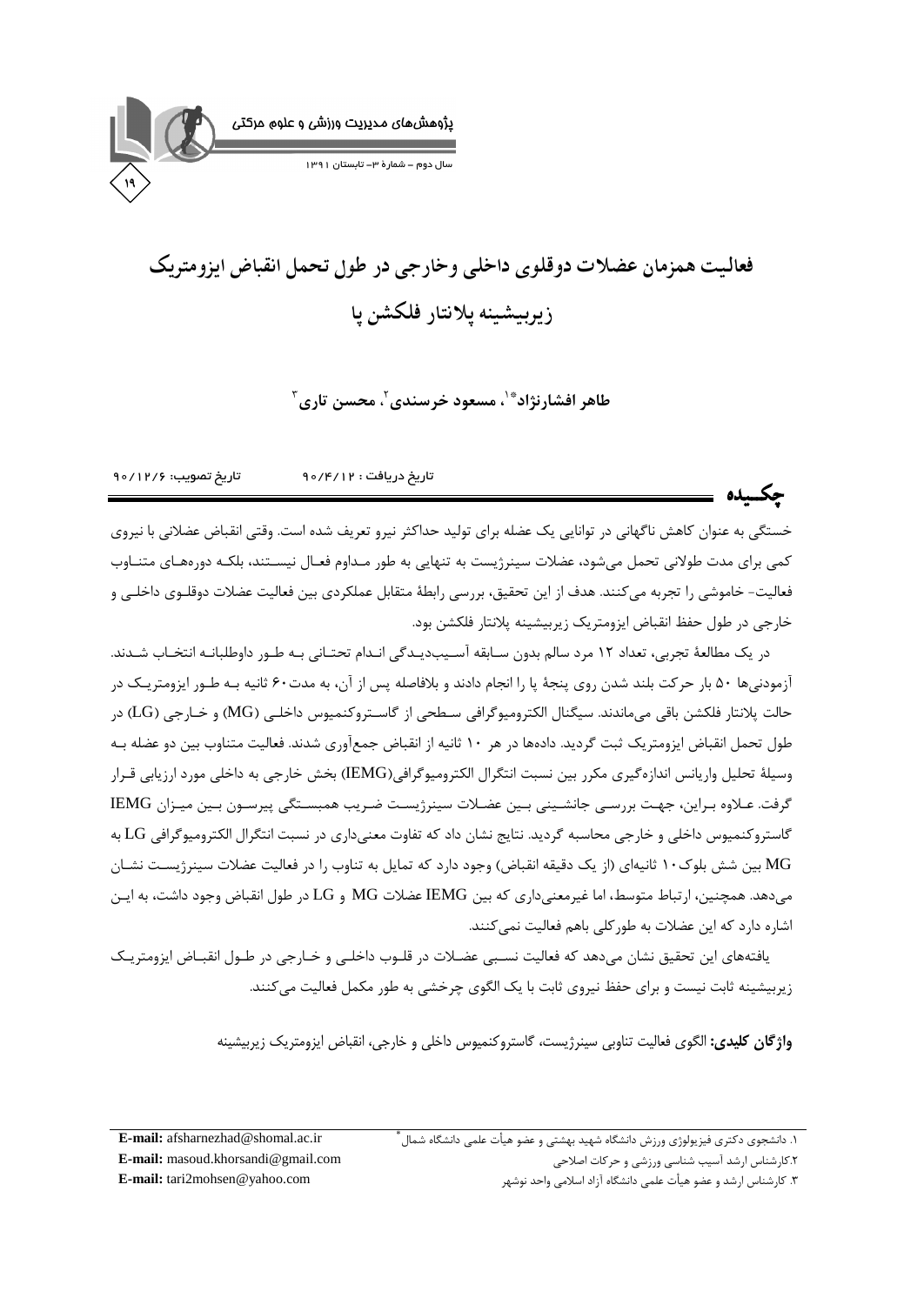

# فعالیت همزمان عضلات دوقلوی داخلی وخارجی در طول تحمل انقیاض ایزومتریک زيربيشينه يلانتار فلكشن يا

طاهر افشارنژاد ٌ ٰ ٰ مسعود خرسندي ٗ ،محسن تاري ؑ

تاريخ تصويب: ١٢/۶١/٥٩ تاريخ دريافت : ۶/۱۲/۰۶

خستگی به عنوان کاهش ناگهانی در توانایی یک عضله برای تولید حداکثر نیرو تعریف شده است. وقتی انقباض عضلانی با نیروی کمی برای مدت طولانی تحمل میشود، عضلات سینرژیست به تنهایی به طور مـداوم فعـال نیسـتند، بلکـه دورههـای متنـاوب فعالیت- خاموشی را تجربه می کنند. هدف از این تحقیق، بررسی رابطهٔ متقابل عملکردی بین فعالیت عضلات دوقلـوی داخلـی و خارجي در طول حفظ انقباض ايزومتريک زيربيشينه پلانتار فلكشن بود.

در یک مطالعهٔ تجربی، تعداد ۱۲ مرد سالم بدون سـابقه آسـیبدیـدگی انـدام تحتـانی بـه طـور داوطلبانـه انتخـاب شـدند. آزمودنیها ۵۰ بار حرکت بلند شدن روی پنجهٔ پا را انجام دادند و بلافاصله پس از آن، به مدت۶۰ ثانیه بـه طـور ایزومتریـک در حالت يلانتار فلكشن باقي مي،اندند. سيگنال الكتروميوگرافي سـطحي از گاسـتروكنميوس داخلـي (MG) و خــارجي (LG) در طول تحمل انقباض ایزومتریک ثبت گردید. دادهها در هر ۱۰ ثانیه از انقباض جمعآوری شدند. فعالیت متناوب بین دو عضله بـه وسيلهٔ تحليل واريانس اندازه گيري مكرر بين نسبت انتگرال الكتروميوگرافي(IEMG) بخش خارجي به داخلي مورد ارزيابي قـرار گرفت. عـلاوه بـراين، جهـت بررسـي جانشـيني بـين عضـلات سينرژيسـت ضـريب همبسـتگي پيرسـون بـين ميـزان IEMG گاستروکنمیوس داخلی و خارجی محاسبه گردید. نتایج نشان داد که تفاوت معنیداری در نسبت انتگرال الکترومیوگرافی LG به MG بین شش بلوک۱۰ ثانیهای (از یک دقیقه انقباض) وجود دارد که تمایل به تناوب را در فعالیت عضلات سینرژیست نشـان می دهد. همچنین، ارتباط متوسط، اما غیرمعنی داری که بین IEMG عضلات MG و LG در طول انقباض وجود داشت، به ایـن اشاره دارد که این عضلات به طور کلی باهم فعالیت نمی کنند.

یافتههای این تحقیق نشان میدهد که فعالیت نسـبی عضـلات در قلـوب داخلـی و خـارجی در طـول انقبـاض ایزومتریـک زیربیشینه ثابت نیست و برای حفظ نیروی ثابت با یک الگوی چرخشی به طور مکمل فعالیت می کنند.

**واژگان کلیدی:** الگوی فعالیت تناوبی سینرژیست، گاستروکنمیوس داخلی و خارجی، انقباض ایزومتریک زیربیشینه

۰۱. دانشجوی دکتری فیزیولوژی ورزش دانشگاه شهید بهشتی و عضو هیأت علمی دانشگاه شمال<sup>'</sup> ٢.كارشناس ارشد آسيب شناسي ورزشي و حركات اصلاحي

E-mail: afsharnezhad@shomal.ac.ir E-mail: masoud.khorsandi@gmail.com E-mail: tari2mohsen@yahoo.com

۳. کارشناس ارشد و عضو هیأت علمی دانشگاه آزاد اسلامی واحد نوشهر

جكسده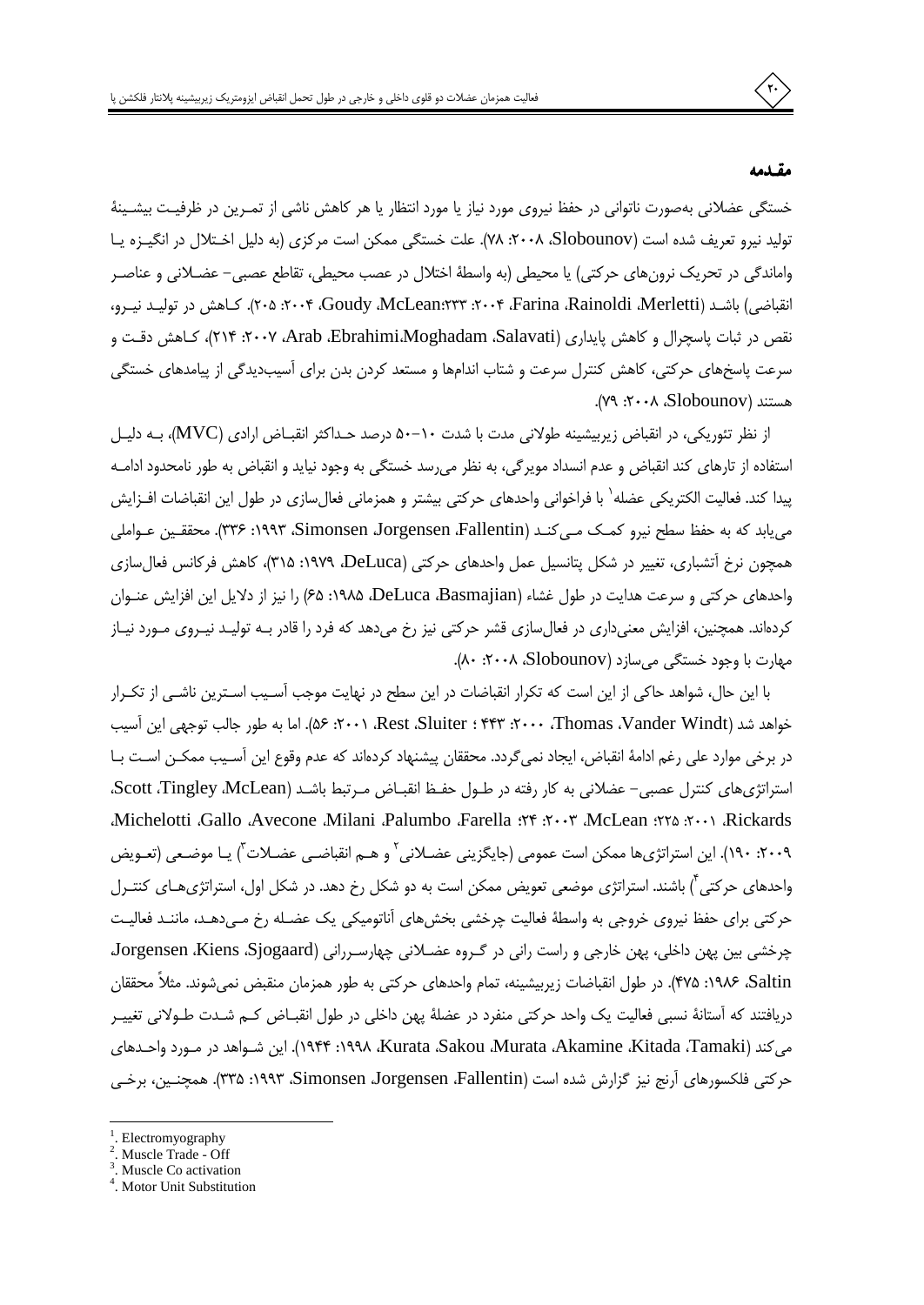#### مقندمه

خستگی عضلانی بهصورت ناتوانی در حفظ نیروی مورد نیاز یا مورد انتظار یا هر کاهش ناشی از تمـرین در ظرفیـت بیشـینهٔ تولید نیرو تعریف شده است (Slobounov، ۲۰۰۸، Slobounov). علت خستگی ممکن است مرکزی (به دلیل اختلال در انگیزه یا واماندگی در تحریک نرونِهای حرکتی) یا محیطی (به واسطهٔ اختلال در عصب محیطی، تقاطع عصبی– عضـلانی و عناصـر انقباضی) باشـد (Farina Rainoldi ،Merletti، ۲۰۰۴؛ Goudy ،McLean؛۲۳۳، ۲۰۰۵، ۲۰۵). کـاهش در توليـد نيـرو، نقص در ثبات پاسچرال و کاهش پایداری (Arab ،Ebrahimi،Moghadam ،Salavati، ۲۰۰۷: ۲۱۴)، کـاهش دقـت و سرعت پاسخهای حرکتی، کاهش کنترل سرعت و شتاب اندامها و مستعد کردن بدن برای آسیبدیدگی از پیامدهای خستگی هستند (Slobounov). ٢٠٠٩: ٧٩).

از نظر تئوریکی، در انقباض زیربیشینه طولانی مدت با شدت ۵۰–۵۰ درصد حـداکثر انقبـاض ارادی (MVC)، بـه دلیـل استفاده از تارهای کند انقباض و عدم انسداد مویرگی، به نظر می رسد خستگی به وجود نیاید و انقباض به طور نامحدود ادامـه پیدا کند. فعالیت الکتریکی عضله<sup>\</sup> با فراخوانی واحدهای حرکتی بیشتر و همزمانی فعالٍسازی در طول این انقباضات افـزایش می یابد که به حفظ سطح نیرو کمک مـی کنـد (Simonsen Jorgensen ،Fallentin) ۱۹۹۳: ۳۳۶). محققـین عـواملی همچون نرخ آتشباری، تغییر در شکل پتانسیل عمل واحدهای حرکتی (DeLuca، ۱۹۷۹: ۳۱۵)، کاهش فرکانس فعال سازی واحدهای حرکتی و سرعت هدایت در طول غشاء (DeLuca ،Basmajian، ۱۹۸۵، ۶۵) را نیز از دلایل این افزایش عنـوان کردهاند. همچنین، افزایش معنیداری در فعالِسازی قشر حرکتی نیز رخ میدهد که فرد را قادر بـه تولیـد نیـروی مـورد نیـاز مهارت با وجود خستگی می سازد (Slobounov، ۲۰۰۸، ۸۰).

با این حال، شواهد حاکی از این است که تکرار انقباضات در این سطح در نهایت موجب آسـیب اسـترین ناشـی از تکـرار خواهد شد (Vander Windt، ۲۰۰۰، Thomas، Vander Windt، ۲۰۰۱؛ ۵۶). اما به طور جالب توجهی این آسیب در برخی موارد علی رغم ادامهٔ انقباض، ایجاد نمی گردد. محققان پیشنهاد کردهاند که عدم وقوع این آسـیب ممکـن اسـت بـا استراتژیهای کنترل عصبی- عضلانی به کار رفته در طـول حفـظ انقبـاض مـرتبط باشـد (Scott ،Tingley McLean، Richelotti Gallo Avecone Milani Palumbo Farella : ٢٣: ٢٠٠٣ McLean : ٢٥: ٢٠٠١ Rickards ٢٠٠٩، ١٩٠). اين استراتژي١ه ممكن است عمومي (جايگزيني عضـلاني ّ و هــم انقباضــي عضـلات ّ) يـا موضـعي (تعـويض واحدهای حرکتی آ) باشند. استراتژی موضعی تعویض ممکن است به دو شکل رخ دهد. در شکل اول، استراتژیهـای کنتـرل حرکتی برای حفظ نیروی خروجی به واسطهٔ فعالیت چرخشی بخشهای آناتومیکی یک عضـله رخ مـی‹هـد، ماننـد فعالیـت چرخشی بین پھن داخلی، پھن خارجی و راست رانی در گروہ عضلانی چھارسررانی (Jorgensen ،Kiens ،Sjogaard، Saltin. ۱۹۸۶: ۴۷۵). در طول انقباضات زیربیشینه، تمام واحدهای حرکتی به طور همزمان منقبض نمی شوند. مثلاً محققان دریافتند که آستانهٔ نسبی فعالیت یک واحد حرکتی منفرد در عضلهٔ پهن داخلی در طول انقبــاض کــم شــدت طــولانی تغییــر می كند (Kitada ،Tamaki)، Kurata ،Sakou ،Murata ،Akamine ،Kitada ،Tamaki). این شـواهد در مـورد واحـدهای حركتي فلكسورهاي آرنج نيز گزارش شده است (Simonsen Jorgensen ،Fallentin، ١٩٩٣: ٣٣۵). همچنـين، برخـي



Electromyography

Muscle Trade - Off

Muscle Co activation

<sup>&</sup>lt;sup>4</sup>. Motor Unit Substitution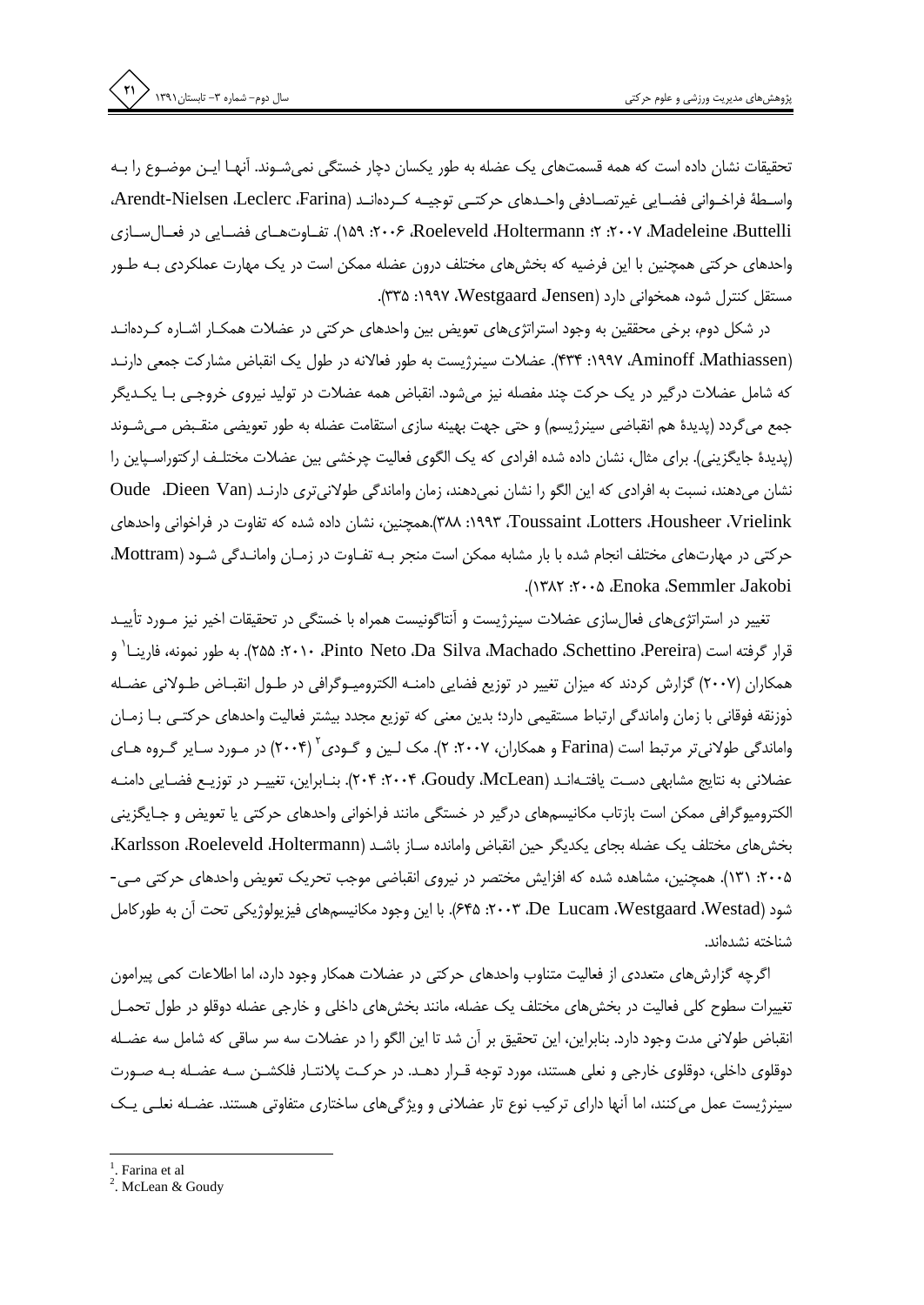تحقیقات نشان داده است که همه قسمتهای یک عضله به طور یکسان دچار خستگی نمیشـوند. آنهـا ایـن موضـوع را بـه واســطهٔ فراخــواني فضــايي غيرتصــادفي واحــدهاي حركتــي توجيــه كــردهانــد (Arendt-Nielsen ،Leclerc ،Farina، ۲۰۰۷، Madeleine ،Buttelli، ۲۰۰۷، ۲۰۰۷، Roeleveld ،Holtermann، تف)وت(های فضیایی در فعیال سیازی واحدهای حرکتی همچنین با این فرضیه که بخشهای مختلف درون عضله ممکن است در یک مهارت عملکردی بـه طـور مستقل کنترل شود، همخوانی دارد (Westgaard Jensen، ۳۳۵: ۳۳۵).

در شکل دوم، برخی محققین به وجود استراتژیهای تعویض بین واحدهای حرکتی در عضلات همکـار اشـاره کـردهانـد (Aminoff ،Mathiassen)، ۱۹۹۷، ۴۳۴). عضلات سینرژیست به طور فعالانه در طول یک انقباض مشارکت جمعی دارنـد که شامل عضلات درگیر در یک حرکت چند مفصله نیز می شود. انقباض همه عضلات در تولید نیروی خروجی بـا یکـدیگر جمع می گردد (پدیدهٔ هم انقباضی سینرژیسم) و حتی جهت بهینه سازی استقامت عضله به طور تعویضی منقـبض مـیشـوند (پدیدهٔ جایگزینی). برای مثال، نشان داده شده افرادی که یک الگوی فعالیت چرخشی بین عضلات مختلـف ارکتوراسـپاین را نشان میدهند، نسبت به افرادی که این الگو را نشان نمیدهند، زمان واماندگی طولانیتری دارنـد (Oude ،Dieen Van Toussaint Lotters ،Housheer ،Vrielink، ۲۸۸).همچنین، نشان داده شده که تفاوت در فراخوانی واحدهای حركتي در مهارتهاي مختلف انجام شده با بار مشابه ممكن است منجر بـه تفـاوت در زمـان وامانـدگي شـود (Mottram، .(١٣٨٢ : ٢٠٠٥، Enoka Semmler Jakobi

تغییر در استراتژیهای فعالسازی عضلات سینرژیست و آنتاگونیست همراه با خستگی در تحقیقات اخیر نیز مـورد تأییـد قوار گرفته است (TA۵ :۲۰۱۰ Pinto Neto Da Silva Machado Schettino Pereira، به طور نمونه، فارينـا و همکاران (۲۰۰۷) گزارش کردند که میزان تغییر در توزیع فضایی دامنـه الکترومیـوگرافی در طـول انقبـاض طـولانی عضـله ذوزنقه فوقانی با زمان واماندگی ارتباط مستقیمی دارد؛ بدین معنی که توزیع مجدد بیشتر فعالیت واحدهای حرکتـی بـا زمـان واماندگی طولانی تر مرتبط است (Farina و همکاران، ۲۰۰۷: ۲). مک لـین و گـودی ۲۰۰۴) در مـورد سـایر گـروه هـای عضلانی به نتایج مشابهی دست یافتـهانـد (۲۰۰۴، ۲۰۰۴، ۲۰۰۴، ۲۰۴). بنـابراین، تغییـر در توزیـع فضـایی دامنـه الکترومیوگرافی ممکن است بازتاب مکانیسمهای درگیر در خستگی مانند فراخوانی واحدهای حرکتی یا تعویض و جـایگزینی بخش های مختلف یک عضله بجای یکدیگر حین انقباض وامانده سـاز باشـد (Karlsson ،Roeleveld ،Holtermann، ۲۰۰۵: ۱۳۱). همچنین، مشاهده شده که افزایش مختصر در نیروی انقباضی موجب تحریک تعویض واحدهای حرکتی مـی-شود (Westad، Westad، De Lucam، Westgaard، با این وجود مکانیسمهای فیزیولوژیکی تحت أن به طوركامل شناخته نشدهاند.

اگرچه گزارشهای متعددی از فعالیت متناوب واحدهای حرکتی در عضلات همکار وجود دارد، اما اطلاعات کمی پیرامون تغییرات سطوح کلی فعالیت در بخش های مختلف یک عضله، مانند بخش های داخلی و خارجی عضله دوقلو در طول تحمـل انقباض طولانی مدت وجود دارد. بنابراین، این تحقیق بر آن شد تا این الگو را در عضلات سه سر ساقی که شامل سه عضله دوقلوی داخلی، دوقلوی خارجی و نعلی هستند، مورد توجه قـرار دهـد. در حرکـت پلانتـار فلکشـن سـه عضـله بـه صـورت سینرژیست عمل می کنند، اما اَنها دارای ترکیب نوع تار عضلانی و ویژگیهای ساختاری متفاوتی هستند. عضـله نعلـی یـک

 $<sup>1</sup>$ . Farina et al</sup>

<sup>&</sup>lt;sup>2</sup>. McLean & Goudy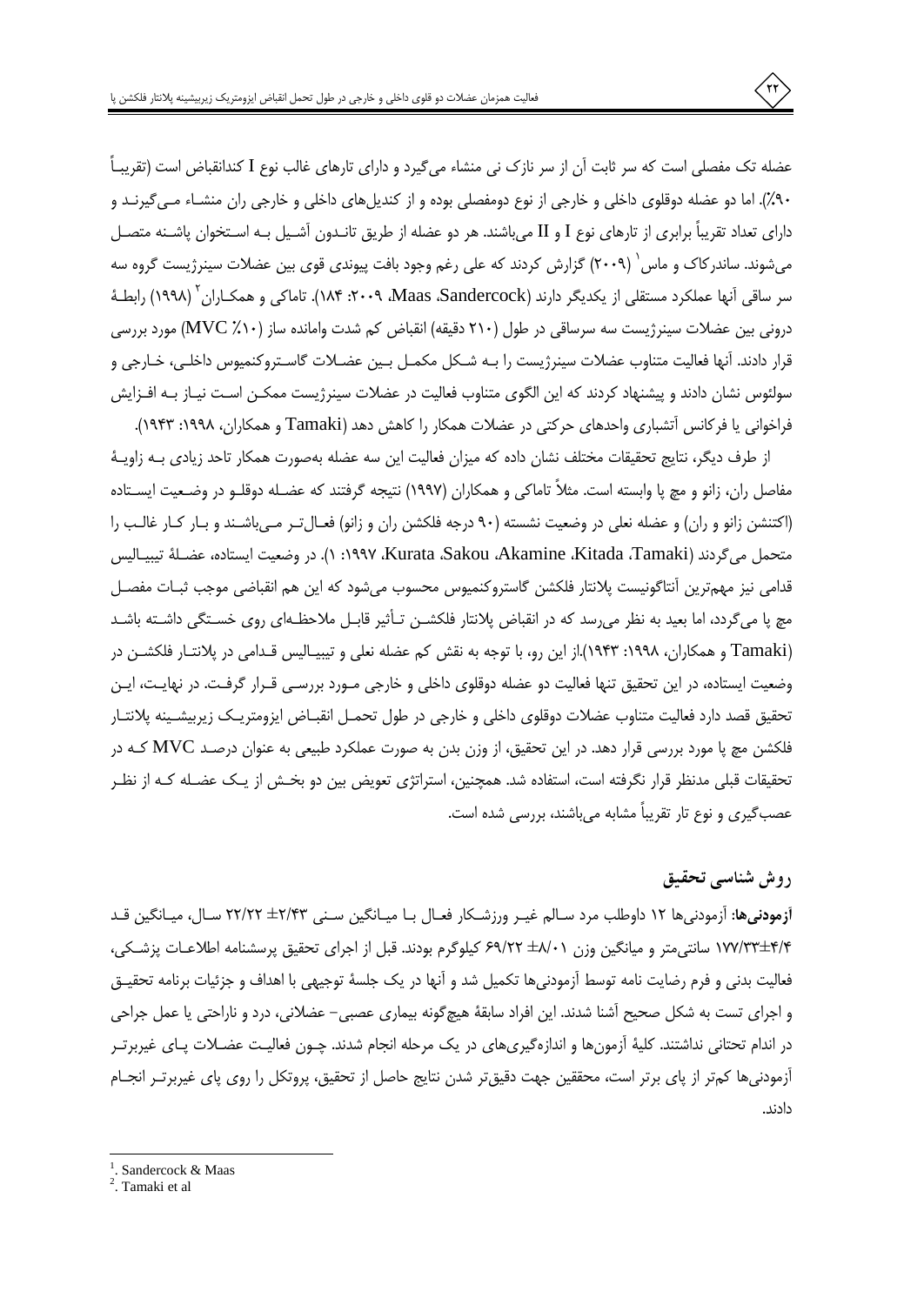عضله تک مفصلی است که سر ثابت آن از سر نازک نی منشاء می5یرد و دارای تارهای غالب نوع I کندانقباض است (تقریبـاً ۹۰٪). اما دو عضله دوقلوی داخلی و خارجی از نوع دومفصلی بوده و از کندیلهای داخلی و خارجی ران منشـاء مـی5یرنـد و دارای تعداد تقریباً برابری از تارهای نوع I و II میباشند. هر دو عضله از طریق تانــدون آشـیل بــه اسـتخوان پاشــنه متصـل می،شوند. ساندرکاک و ماس ٔ (۲۰۰۹) گزارش کردند که علی رغم وجود بافت پیوندی قوی بین عضلات سینرژیست گروه سه سر ساقی آنها عملکرد مستقلی از یکدیگر دارند (Maas ،Sandercock، ۲۰۰۹، ۱۸۴). تاماکی و همکـاران <sup>۱</sup> (۱۹۹۸) رابطـهٔ درونی بین عضلات سینرژیست سه سرساقی در طول (۲۱۰ دقیقه) انقباض کم شدت وامانده ساز (۸۱۰/ MVC) مورد بررسی قرار دادند. اًنها فعالیت متناوب عضلات سینرژیست را بـه شـکل مکمـل بـین عضـلات گاسـتروکنمیوس داخلـی، خـارجی و سولئوس نشان دادند و پیشنهاد کردند که این الگوی متناوب فعالیت در عضلات سینرژیست ممکـن اسـت نیـاز بـه افـزایش فراخوانی یا فرکانس آتشباری واحدهای حرکتی در عضلات همکار را کاهش دهد (Tamaki و همکاران، ۱۹۹۸: ۱۹۴۳).

از طرف دیگر، نتایج تحقیقات مختلف نشان داده که میزان فعالیت این سه عضله بهصورت همکار تاحد زیادی بـه زاویـهٔ مفاصل ران، زانو و مچ پا وابسته است. مثلاً تاماکی و همکاران (۱۹۹۷) نتیجه گرفتند که عضـله دوقلـو در وضـعیت ایسـتاده (اکتنشن زانو و ران) و عضله نعلی در وضعیت نشسته (۹۰ درجه فلکشن ران و زانو) فعـالتـر مـیباشـند و بـار کـار غالـب را متحمل مي گردند (Kitada ،Tamaki، Kurata ،Sakou ،Akamine ،Kitada، Tamaki، ١). در وضعيت ايستاده، عضـلةَ تيبيـاليس قدامی نیز مهمترین أنتاگونیست پلانتار فلكشن گاستروكنميوس محسوب میشود كه این هم انقباضی موجب ثبـات مفصـل مچ پا می گردد، اما بعید به نظر می رسد که در انقباض پلانتار فلکشـن تـأثیر قابـل ملاحظـهای روی خسـتگی داشـته باشـد (Tamaki و همکاران، ۱۹۹۸: ۱۹۴۳).از این رو، با توجه به نقش کم عضله نعلی و تیبیـالیس قـدامی در پلانتـار فلکشـن در وضعیت ایستاده، در این تحقیق تنها فعالیت دو عضله دوقلوی داخلی و خارجی مـورد بررسـی قـرار گرفـت. در نهایـت، ایـن تحقیق قصد دارد فعالیت متناوب عضلات دوقلوی داخلی و خارجی در طول تحمـل انقبــاض ایزومتریــک زیربیشـینه پلانتــار فلکشن مچ پا مورد بررسی قرار دهد. در این تحقیق، از وزن بدن به صورت عملکرد طبیعی به عنوان درصـد MVC کـه در تحقیقات قبلی مدنظر قرار نگرفته است، استفاده شد. همچنین، استراتژی تعویض بین دو بخش از یک عضـله کـه از نظـر عصب گیری و نوع تار تقریباً مشابه می باشند، بررسی شده است.

### روش شناسی تحقیق

**آزمودنیها:** آزمودنیها ۱۲ داوطلب مرد سـالم غیـر ورزشـکار فعـال بـا میـانگین سـنی ۲۲/۴۳ ± ۲۲/۲۲ سـال، میـانگین قـد ۲/۳۴±۱۷۷/۳۳ سانتی متر و میانگین وزن ۶۹/۲۲ ±۶۹/۲۲ کیلوگرم بودند. قبل از اجرای تحقیق پرسشنامه اطلاعـات پزشـکی، فعالیت بدنی و فرم رضایت نامه توسط آزمودنیها تکمیل شد و آنها در یک جلسهٔ توجیهی با اهداف و جزئیات برنامه تحقیـق و اجرای تست به شکل صحیح آشنا شدند. این افراد سابقهٔ هیچگونه بیماری عصبی– عضلانی، درد و ناراحتی یا عمل جراحی در اندام تحتانی نداشتند. کلیهٔ آزمونها و اندازهگیریهای در یک مرحله انجام شدند. چــون فعالیـت عضــلات پــای غیربرتــر أزمودنيها كمتر از پاي برتر است، محققين جهت دقيقتر شدن نتايج حاصل از تحقيق، پروتكل را روى پاي غيربرتـر انجــام دادند.

<sup>&</sup>lt;sup>1</sup>. Sandercock & Maas

<sup>&</sup>lt;sup>2</sup>. Tamaki et al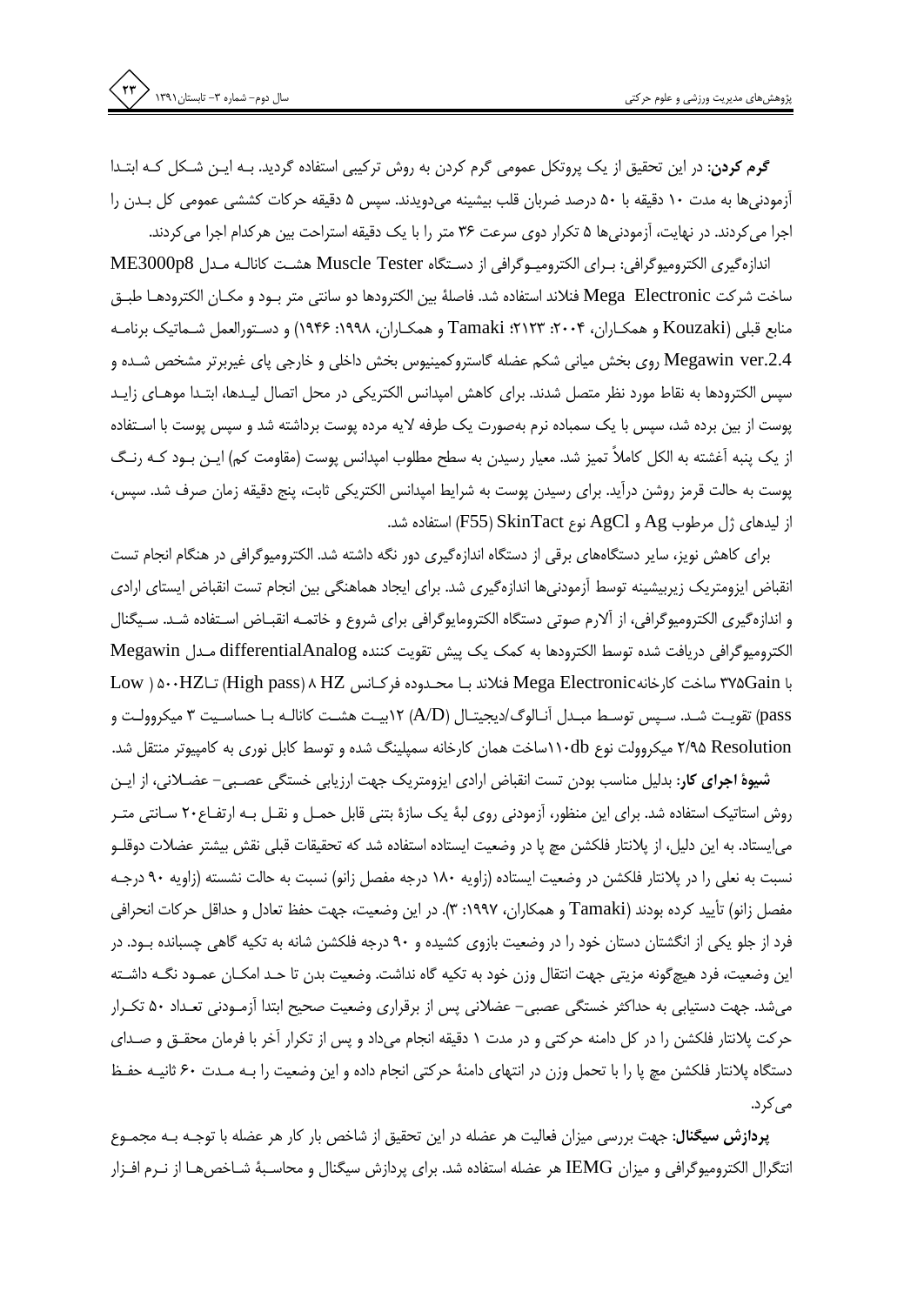**گرم کردن:** در این تحقیق از یک پروتکل عمومی گرم کردن به روش ترکیبی استفاده گردید. بـه ایـن شـکل کـه ابتـدا آزمودنیها به مدت ۱۰ دقیقه با ۵۰ درصد ضربان قلب بیشینه میدویدند. سپس ۵ دقیقه حرکات کششی عمومی کل بـدن را اجرا می کردند. در نهایت، آزمودنیها ۵ تکرار دوی سرعت ۳۶ متر را با یک دقیقه استراحت بین هرکدام اجرا می کردند.

اندازهگیری الکترومیوگرافی: بـرای الکترومیـوگرافی از دسـتگاه Muscle Tester هشـت کانالـه مـدل ME3000p8 ساخت شركت Mega Electronic فنلاند استفاده شد. فاصلهٔ بین الكترودها دو سانتی متر بـود و مكـان الكترودهـا طبـق منابع قبلي (Kouzaki و همكـاران، ۲۰۰۴: ۲۱۲۳: Tamaki و همكـاران، ۱۹۹۸: ۱۹۴۶) و دسـتورالعمل شـماتيك برنامـه Megawin ver.2.4 روی بخش میانی شکم عضله گاستروکمینیوس بخش داخلی و خارجی پای غیربرتر مشخص شـده و سپس الکترودها به نقاط مورد نظر متصل شدند. برای کاهش امیدانس الکتریکی در محل اتصال لیـدها، ابتـدا موهـای زایـد پوست از بین برده شد، سپس با یک سمباده نرم بهصورت یک طرفه لایه مرده پوست برداشته شد و سپس پوست با اسـتفاده از یک پنبه آغشته به الکل کاملاً تمیز شد. معیار رسیدن به سطح مطلوب امپدانس پوست (مقاومت کم) ایـن بـود کـه رنـگ پوست به حالت قرمز روشن درآید. برای رسیدن پوست به شرایط امپدانس الکتریکی ثابت، پنج دقیقه زمان صرف شد. سپس، از ليدهاي ژل مرطوب Ag و AgCl نوع SkinTact(F55) استفاده شد.

برای کاهش نویز، سایر دستگاههای برقی از دستگاه اندازهگیری دور نگه داشته شد. الکترومیوگرافی در هنگام انجام تست انقباض ایزومتریک زیربیشینه توسط اّزمودنیها اندازهگیری شد. برای ایجاد هماهنگی بین انجام تست انقباض ایستای ارادی و اندازهگیری الکترومیوگرافی، از اًلارم صوتی دستگاه الکترومایوگرافی برای شروع و خاتمـه انقبـاض اسـتفاده شـد. سـیگنال الكتروميوگرافي دريافت شده توسط الكترودها به كمك يك پيش تقويت كننده differentialAnalog مـدل Megawin با Wega Electronic ساخت كارخانهMega Electronic فنلاند بـا محـدوده فركـانس High pass) ۸ الساخت كارخانه pass) تقويت شـد. سـپس توسـط مبـدل آنـالوگ/ديجيتـال (A/D) ١٢بيـت هشـت كانالـه بـا حساسـيت ٣ ميكروولـت و ۲/۹۵ Resolution میکروولت نوع ۱۱۰dbاساخت همان کارخانه سمپلینگ شده و توسط کابل نوری به کامپیوتر منتقل شد.

شیوهٔ اجرای کار: بدلیل مناسب بودن تست انقباض ارادی ایزومتریک جهت ارزیابی خستگی عصـبی- عضـلانی، از ایـن روش استاتیک استفاده شد. برای این منظور، آزمودنی روی لبهٔ یک سازهٔ بتنی قابل حمـل و نقـل بـه ارتفـاع۲۰ سـانتی متـر می|یستاد. به این دلیل، از پلانتار فلکشن مچ پا در وضعیت ایستاده استفاده شد که تحقیقات قبلی نقش بیشتر عضلات دوقلـو نسبت به نعلی را در پلانتار فلکشن در وضعیت ایستاده (زاویه ۱۸۰ درجه مفصل زانو) نسبت به حالت نشسته (زاویه ۹۰ درجـه مفصل زانو) تأييد كرده بودند (Tamaki و همكاران، ١٩٩٧: ٣). در اين وضعيت، جهت حفظ تعادل و حداقل حركات انحرافي فرد از جلو یکی از انگشتان دستان خود را در وضعیت بازوی کشیده و ۹۰ درجه فلکشن شانه به تکیه گاهی چسبانده بـود. در این وضعیت، فرد هیچگونه مزیتی جهت انتقال وزن خود به تکیه گاه نداشت. وضعیت بدن تا حـد امکــان عمــود نگــه داشــته میشد. جهت دستیابی به حداکثر خستگی عصبی– عضلانی پس از برقراری وضعیت صحیح ابتدا اَزمـودنی تعـداد ۵۰ تکـرار حرکت پلانتار فلکشن را در کل دامنه حرکتی و در مدت ۱ دقیقه انجام میداد و پس از تکرار آخر با فرمان محقــق و صــدای دستگاه پلانتار فلكشن مچ پا را با تحمل وزن در انتهاى دامنهٔ حركتى انجام داده و اين وضعيت را بـه مـدت ۶۰ ثانيـه حفـظ می کرد.

**پردازش سیگنال:** جهت بررسی میزان فعالیت هر عضله در این تحقیق از شاخص بار کار هر عضله با توجـه بـه مجمـوع انتگرال الکترومیوگرافی و میزان IEMG هر عضله استفاده شد. برای پردازش سیگنال و محاسـبهٔ شـاخصهـا از نــرم افــزار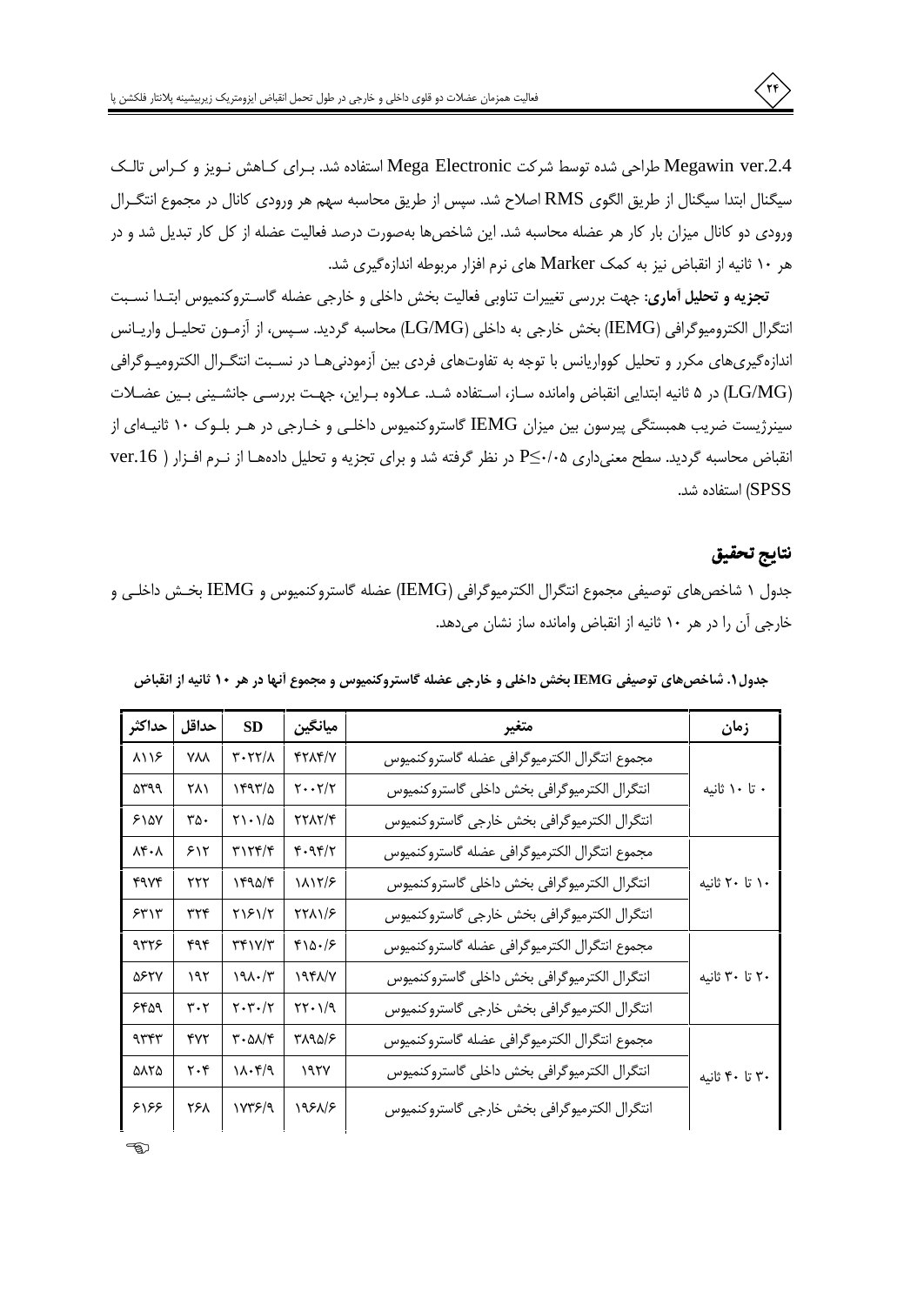Megawin ver.2.4 طراحی شده توسط شرکت Mega Electronic استفاده شد. بـرای کـاهش نـویز و کـراس تالـک سیگنال ابتدا سیگنال از طریق الگوی RMS اصلاح شد. سپس از طریق محاسبه سهم هر ورودی کانال در مجموع انتگرال ورودی دو کانال میزان بار کار هر عضله محاسبه شد. این شاخصها بهصورت درصد فعالیت عضله از کل کار تبدیل شد و در هر ۱۰ ثانیه از انقباض نیز به کمک Marker های نرم افزار مربوطه اندازهگیری شد.

تجزیه و تحلیل آماری: جهت بررسی تغییرات تناوبی فعالیت بخش داخلی و خارجی عضله گاسـتروكنمیوس ابتـدا نسـبت انتگرال الكتروميوگرافي (IEMG) بخش خارجي به داخلي (LG/MG) محاسبه گرديد. سـپس، از آزمـون تحليـل واريـانس اندازهگیریهای مکرر و تحلیل کوواریانس با توجه به تفاوتهای فردی بین آزمودنیهـا در نسـبت انتگـرال الکترومیـوگرافی (LG/MG) در ۵ ثانیه ابتدایی انقباض وامانده سـاز، اسـتفاده شـد. عـلاوه بـراین، جهـت بررسـی جانشـینی بـین عضـلات سینرژیست ضریب همبستگی پیرسون بین میزان IEMG گاستروکنمیوس داخلـی و خـارجی در هـر بلـوک ۱۰ ثانیـهای از انقباض محاسبه گردید. سطح معنیداری P≤۰/۰۵ در نظر گرفته شد و برای تجزیه و تحلیل دادههـا از نـرم افـزار ( ver.16 SPSS) استفاده شد.

## نتايج تحقيق

 $\left( r\right)$ 

جدول ١ شاخصهاى توصيفي مجموع انتگرال الكترميوگرافي (IEMG) عضله گاستروكنميوس و IEMG بخـش داخلـي و خارجی آن را در هر ۱۰ ثانیه از انقباض وامانده ساز نشان میدهد.

| حداكثر      | حداقل      | SD                                                               | ميانگين                                          | متغير                                         | زمان           |
|-------------|------------|------------------------------------------------------------------|--------------------------------------------------|-----------------------------------------------|----------------|
| ۸۱۱۶        | <b>YAA</b> | $Y - YY/X$                                                       | <b>۴۲۸۴/V</b>                                    | مجموع انتگرال الكترميوگرافي عضله گاستروكنميوس |                |
| ۵۳۹۹        | ۲۸۱        | 1497/2                                                           | $\mathbf{Y} \cdot \cdot \mathbf{Y} / \mathbf{Y}$ | انتگرال الكترميوگرافي بخش داخلي گاستروكنميوس  | ۰ تا ۱۰ ثانیه  |
| 510Y        | ۳۵۰        | $\gamma \cdot \gamma/\Delta$                                     | 7717/4                                           | انتگرال الكترميوگرافي بخش خارجي گاستروكنميوس  |                |
| ۸۴۰۸        | ۶۱۲        | ۳۱۲۴/۴                                                           | 4.94/7                                           | مجموع انتگرال الكترميوگرافي عضله گاستروكنميوس |                |
| <b>۴۹۷۴</b> | ۲۲۲        | ۱۴۹۵/۴                                                           | 1117/8                                           | انتگرال الكترميوگرافي بخش داخلي گاستروكنميوس  | ۱۰ تا ۲۰ ثانیه |
| 55'         | ۳۲۴        | ٢١۶١/٢                                                           | ۲۲۸۱/۶                                           | انتگرال الكترميوگرافي بخش خارجي گاستروكنميوس  |                |
| ۹۳۲۶        | ۴۹۴        | ٣٣١٧/٣                                                           | 410.18                                           | مجموع انتگرال الكترميوگرافي عضله گاستروكنميوس |                |
| ۵۶۲۷        | ۱۹۲        | 191.7                                                            | 198/1                                            | انتگرال الكترميوگرافي بخش داخلي گاستروكنميوس  | ۲۰ تا ۳۰ ثانیه |
| ۶۴۵۹        | ۳۰۲        | $\mathbf{Y} \cdot \mathbf{Y} \cdot / \mathbf{Y}$                 | $\gamma \gamma \cdot \gamma \gamma$              | انتگرال الكترميوگرافي بخش خارجي گاستروكنميوس  |                |
| ۹۳۴۳        | ۴۷۲        | $\mathbf{r} \cdot \mathbf{\Delta} \mathbf{\Lambda} / \mathbf{r}$ | 512018                                           | مجموع انتگرال الكترميوگرافي عضله گاستروكنميوس |                |
| <b>AATA</b> | ۲۰۴        | $\mathcal{M} \cdot \mathcal{F}/\mathcal{A}$                      | 197Y                                             | انتگرال الكترميوگرافي بخش داخلي گاستروكنميوس  | ۳۰ تا ۴۰ ثانیه |
| 5155        | ٢۶٨        | 1778/9                                                           | 1981/8                                           | انتكرال الكترميوكرافي بخش خارجي كاستروكنميوس  |                |

|  |  |  |  | جدول ۱. شاخصهای توصیفی IEMG بخش داخلی و خارجی عضله گاستروکنمیوس و مجموع أنها در هر ۱۰ ثانیه از انقباض |  |  |  |  |  |
|--|--|--|--|-------------------------------------------------------------------------------------------------------|--|--|--|--|--|
|--|--|--|--|-------------------------------------------------------------------------------------------------------|--|--|--|--|--|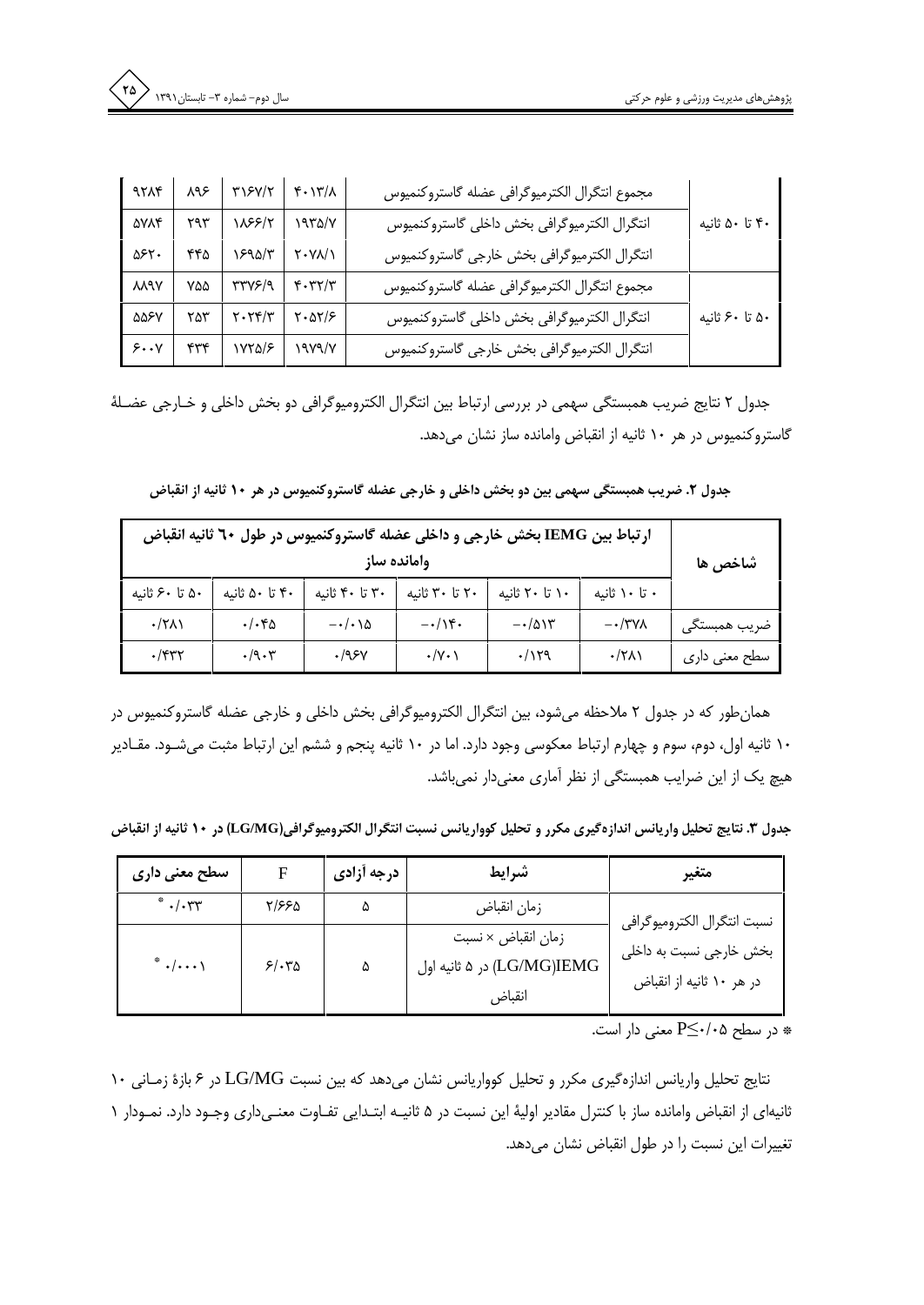| 9714        | ∕ ۹۶ | ٣١۶٧/٢                    | $f \cdot 17/\lambda$          | مجموع انتگرال الكترميوگرافي عضله گاستروكنميوس |                |
|-------------|------|---------------------------|-------------------------------|-----------------------------------------------|----------------|
| <b>AYAF</b> | ٢٩٣  | 1858/۲                    | 1970/V                        | انتكرال الكترميوكرافي بخش داخلي كاستروكنميوس  | ۴۰ تا ۵۰ ثانیه |
| ۵۶۲.        | ۴۴۵  | ١۶٩۵/٣                    | $Y \cdot Y \lambda / \lambda$ | انتكرال الكترميوكرافي بخش خارجي كاستروكنميوس  |                |
| <b>MAY</b>  | ۷۵۵  | ٣٣٧۶/٩                    | $Y - YY/Y$                    | مجموع انتگرال الكترميوگرافي عضله گاستروكنميوس |                |
| ۵۵۶۷        | ۲۵۳  | $Y \cdot Y^{\mu}$         | $\frac{8}{100}$               | انتكرال الكترميوكرافي بخش داخلي كاستروكنميوس  | ۵۰ تا ۶۰ ثانیه |
| 5.4         |      | $+776$ $\frac{1000}{500}$ |                               | انتگرال الكترميوگرافي بخش خارجي گاستروكنميوس  |                |

جدول ۲ نتایج ضریب همبستگی سهمی در بررسی ارتباط بین انتگرال الکترومیوگرافی دو بخش داخلی و خـارجی عضـلهٔ گاستروکنمیوس در هر ۱۰ ثانیه از انقباض وامانده ساز نشان میدهد.

جدول ۲. ضریب همبستگی سهمی بین دو بخش داخلی و خارجی عضله گاستروکنمیوس در هر ۱۰ ثانیه از انقباض

| ارتباط بین IEMG بخش خارجی و داخلی عضله گاستروکنمیوس در طول ۲۰ ثانیه انقباض | شاخص ها                    |                       |                        |                          |               |               |
|----------------------------------------------------------------------------|----------------------------|-----------------------|------------------------|--------------------------|---------------|---------------|
| ۵۰ تا ۶۰ ثانیه                                                             | ۴۰ تا ۵۰ ثانیه             | ۳۰ تا ۴۰ ثانیه        | ۲۰ تا ۳۰ ثانیه         | ۱۰ تا ۲۰ ثانیه           | ۰ تا ۱۰ ثانیه |               |
| $\cdot$ /۲۸۱                                                               | $.$ / $.$ ۴۵               | $-\cdot/\cdot\lambda$ | $-\cdot/\sqrt{r}\cdot$ | $-\cdot/\Delta$ $\gamma$ | $-\cdot$ /۳۷۸ | ضريب همبستگى  |
| $\cdot$ /۴۳۲                                                               | $\cdot$ /9 $\cdot$ $\cdot$ | .195V                 | $\cdot$ /Y $\cdot$     | .1179                    | $\cdot$ /۲۸۱  | سطح معنی داری |

همانطور که در جدول ۲ ملاحظه میشود، بین انتگرال الکترومیوگرافی بخش داخلی و خارجی عضله گاستروکنمیوس در ۱۰ ثانیه اول، دوم، سوم و چهارم ارتباط معکوسی وجود دارد. اما در ۱۰ ثانیه پنجم و ششم این ارتباط مثبت میشـود. مقـادیر هیچ یک از این ضرایب همبستگی از نظر آماری معنیدار نمیباشد.

جدول ٣. نتايج تحليل واريانس اندازه گيري مكرر و تحليل كوواريانس نسبت انتگرال الكتروميوگرافي(LG/MG) در ١٠ ثانيه از انقباض

| سطح معنی داری                       |       | درجه أزادى | شرايط                                                      | متغير                                               |
|-------------------------------------|-------|------------|------------------------------------------------------------|-----------------------------------------------------|
| $*$ ./. $*$                         | ۲/۶۶۵ |            | زمان انقباض                                                | نسبت انتگرال الكتروميوگرافي                         |
| $*$ $\cdot$ $\cdot$ $\cdot$ $\cdot$ | 5/670 | ۵          | زمان انقباض × نسبت<br>LG/MG)IEMG) در ۵ ثانیه اول<br>انقباض | بخش خارجی نسبت به داخلی<br>در هر ۱۰ ثانیه از انقباض |

در سطح ۰/۰۵–P $\leq$ معنى دار است.

نتايج تحليل واريانس اندازهگيري مكرر و تحليل كوواريانس نشان ميدهد كه بين نسبت LG/MG در ۶ بازهٔ زمـاني ۱۰ ثانیهای از انقباض وامانده ساز با کنترل مقادیر اولیهٔ این نسبت در ۵ ثانیـه ابتـدایی تفـاوت معنـیداری وجـود دارد. نمـودار ۱ تغییرات این نسبت را در طول انقباض نشان میدهد.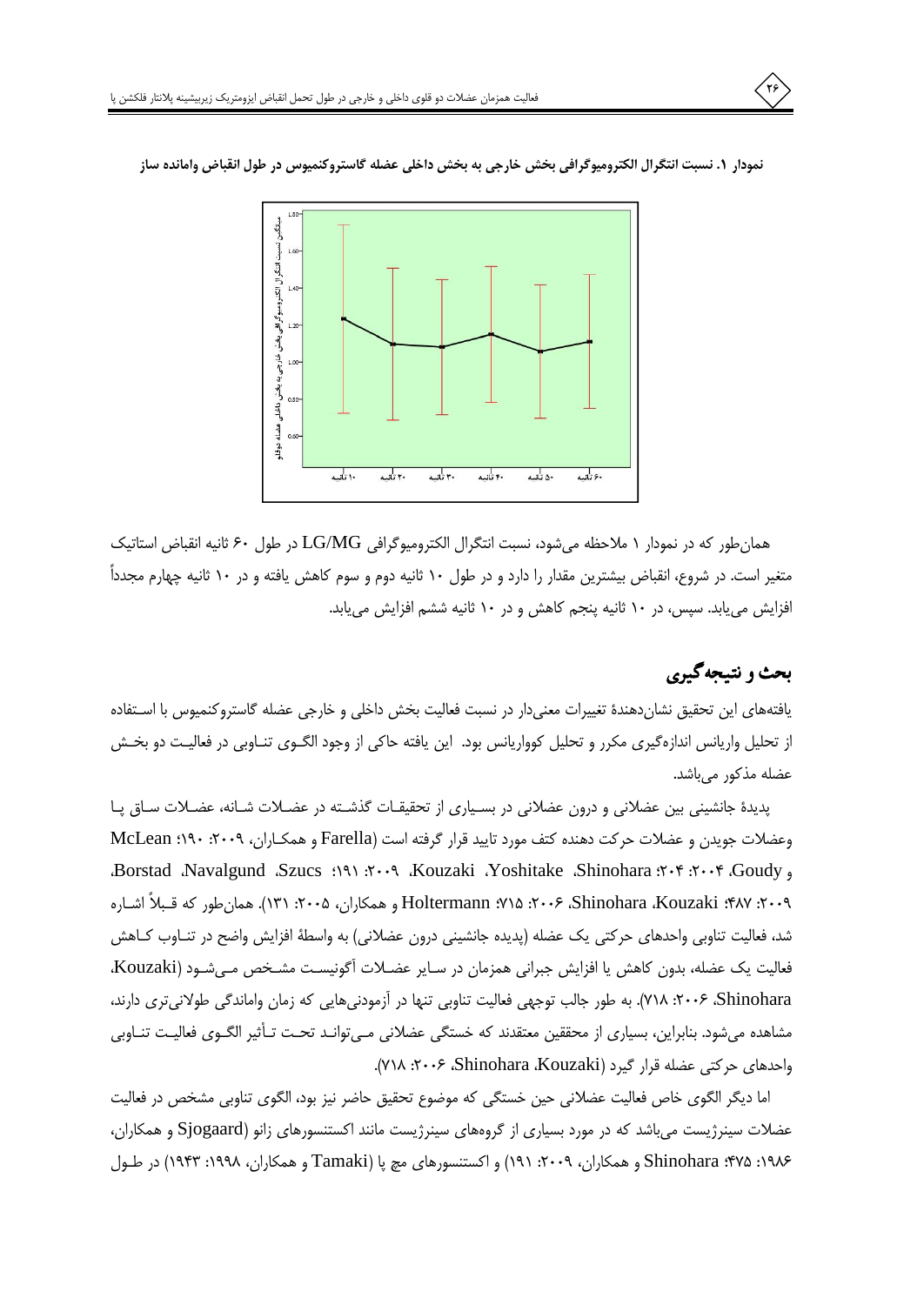

نمودار ١. نسبت انتگرال الكتروميوگرافي بخش خارجي به بخش داخلي عضله گاستروكنميوس در طول انقباض وامانده ساز

همانطور كه در نمودار ١ ملاحظه مىشود، نسبت انتگرال الكتروميوگرافى LG/MG در طول ۶۰ ثانيه انقباض استاتيك متغیر است. در شروع، انقباض بیشترین مقدار را دارد و در طول ۱۰ ثانیه دوم و سوم کاهش یافته و در ۱۰ ثانیه چهارم مجدداً افزایش می یابد. سپس، در ۱۰ ثانیه پنجم کاهش و در ۱۰ ثانیه ششم افزایش می یابد.

# بحث و نتيجه گيري

یافتههای این تحقیق نشاندهندهٔ تغییرات معنیدار در نسبت فعالیت بخش داخلی و خارجی عضله گاستروکنمیوس با اسـتفاده از تحلیل واریانس اندازهگیری مکرر و تحلیل کوواریانس بود. این یافته حاکی از وجود الگـوی تنـاوبی در فعالیـت دو بخـش عضله مذكور مىباشد.

پدیدهٔ جانشینی بین عضلانی و درون عضلانی در بسیاری از تحقیقات گذشته در عضلات شانه، عضلات ساق یا وعضلات جویدن و عضلات حرکت دهنده کتف مورد تایید قرار گرفته است (Farella و همکـاران، ۲۰۰۹: ۱۹۰؛ McLean Borstad Navalgund Szucs :191 : 7. 0 Kouzaki Yoshitake Shinohara : 7. 1. 1. 3. 3. ٢٠٠٩: ٢٨٧: Shinohara ،Kouzaki، ٢٠٠٩: ٢٠١٥: Holtermann، و همكاران، ٢٠٠۵: ١٣١). همان طور كه قـبلاً اشـاره شد، فعالیت تناوبی واحدهای حرکتی یک عضله (پدیده جانشینی درون عضلانی) به واسطهٔ افزایش واضح در تنـاوب کـاهش فعاليت يک عضله، بدون كاهش يا افزايش جبراني همزمان در سـاير عضـلات آگونيسـت مشـخص مـي شـود (Kouzaki، Shinohara، ۲۰۰۶: ۲۰۱۸). به طور جالب توجهی فعالیت تناوبی تنها در آزمودنیهایی که زمان واماندگی طولانیتری دارند، مشاهده می شود. بنابراین، بسیاری از محققین معتقدند که خستگی عضلانی مے توانـد تحـت تـأثیر الگـوی فعالیـت تنـاوبی واحدهای حرکتی عضله قرار گیرد (Shinohara Kouzaki، ۲۰۰۶: ۷۱۸).

اما دیگر الگوی خاص فعالیت عضلانی حین خستگی که موضوع تحقیق حاضر نیز بود، الگوی تناوبی مشخص در فعالیت عضلات سینرژیست میباشد که در مورد بسیاری از گروههای سینرژیست مانند اکستنسورهای زانو (Sjogaard و همکاران، ۱۹۸۶: ۲۷۵: Shinohara و همکاران، ۲۰۰۹: ۱۹۱) و اکستنسورهای مچ یا (Tamaki و همکاران، ۱۹۹۸: ۱۹۴۳) در طـول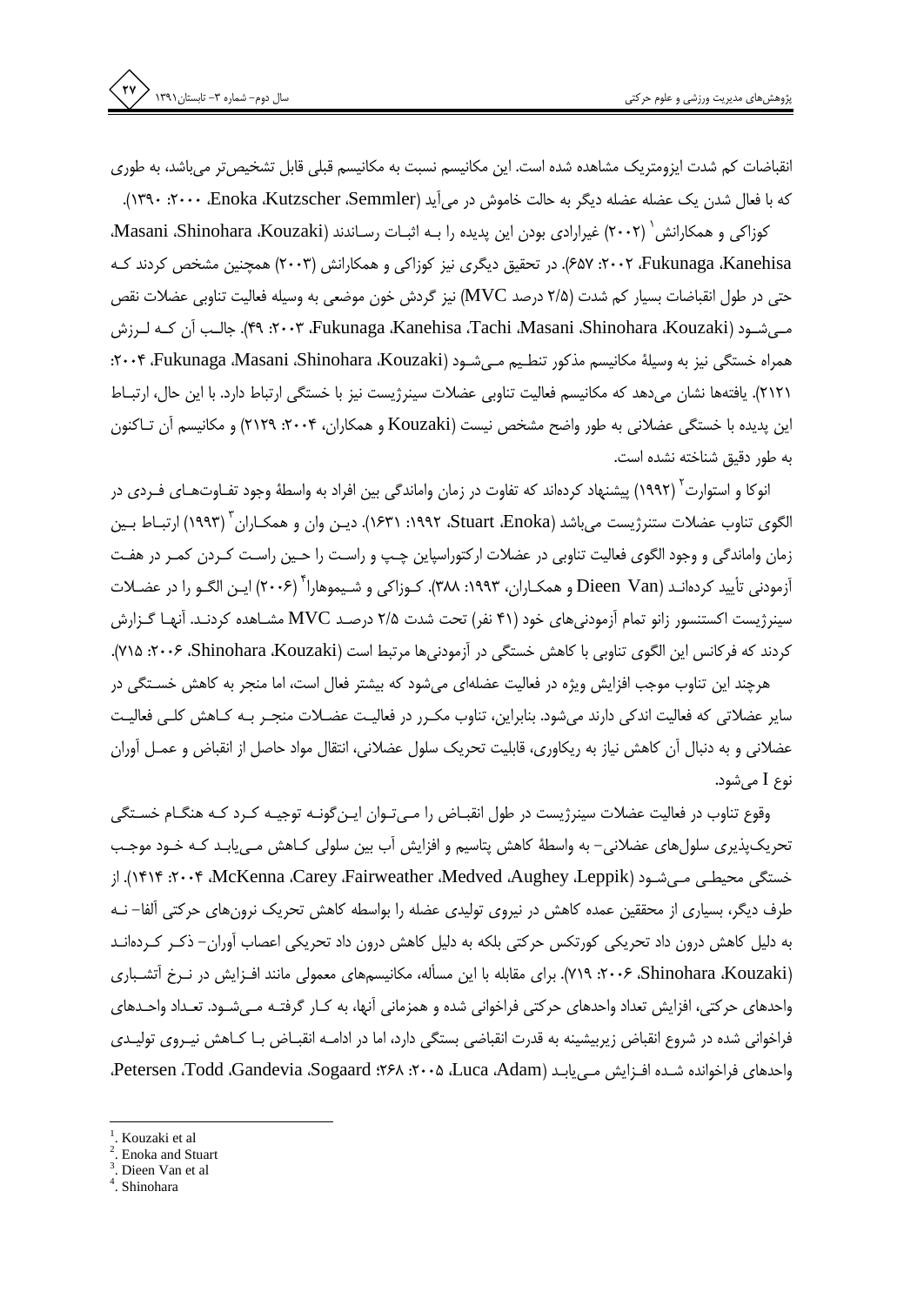انقباضات کم شدت ایزومتریک مشاهده شده است. این مکانیسم نسبت به مکانیسم قبلی قابل تشخیص تر می باشد، به طوری که با فعال شدن یک عضله عضله دیگر به حالت خاموش در می آید (۱۳۹۰ Froka ،Kutzscher ،Semmler).

كوزاكي و همكارانش `` (٢٠٠٢) غيرارادي بودن اين پديده را بـه اثبـات رسـاندند (Masani ،Shinohara ،Kouzaki، Fav :۲۰۰۲ ،Fukunaga ،Kanehisa، در تحقیق دیگری نیز کوزاکی و همکارانش (۲۰۰۳) همچنین مشخص کردند ک حتی در طول انقباضات بسیار کم شدت (۲/۵ درصد MVC) نیز گردش خون موضعی به وسیله فعالیت تناوبی عضلات نقص مے شـود (Kouzaki، Tachi ،Masani ،Shinohara ،Kouzaki، ۲۰۰۳، ۴۹). جالـب آن کـه لـرزش همراه خستگی نیز به وسیلهٔ مکانیسم مذکور تنطیم مے شـود (۲۰۰۴، Fukunaga Masani Shinohara ،Kouzaki؛ ٢١٢١). يافتهها نشان مي دهد كه مكانيسم فعاليت تناوبي عضلات سينرژيست نيز با خستگي ارتباط دارد. با اين حال، ارتبـاط این پدیده با خستگی عضلانی به طور واضح مشخص نیست (Kouzaki و همکاران، ۲۰۰۴: ۲۱۲۹) و مکانیسم آن تـاکنون به طور دقیق شناخته نشده است.

انوکا و استوارت` (۱۹۹۲) پیشنهاد کردهاند که تفاوت در زمان واماندگی بین افراد به واسطهٔ وجود تفـاوتهـای فـردی در الگوی تناوب عضلات ستنرژیست میباشد (Stuart ،Enoka، ۱۹۹۲: ۱۶۳۱). دیــن وان و همکــاران <sup>۲</sup> (۱۹۹۳) ارتبــاط بــین زمان واماندگی و وجود الگوی فعالیت تناوبی در عضلات ارکتوراسپاین چـپ و راسـت را حـین راسـت کـردن کمـر در هفـت آزمودنی تأیید کردهانـد (Dieen Van و همکـاران، ۱۹۹۳: ۳۸۸). کـوزاکی و شـیموهارا ۲۰۰۶) ایـن الگـو را در عضـلات سینرژیست اکستنسور زانو تمام آزمودنیهای خود (۴۱ نفر) تحت شدت ۲/۵ درصـد MVC مشــاهده کردنـد. آنهـا گــزارش کردند که فرکانس این الگوی تناوبی با کاهش خستگی در آزمودنی ها مرتبط است (Shinohara ،Kouzaki، ۲۰۰۶: ۲۱۵).

هرچند این تناوب موجب افزایش ویژه در فعالیت عضلهای میشود که بیشتر فعال است، اما منجر به کاهش خسـتگی در سایر عضلاتی که فعالیت اندکی دارند میشود. بنابراین، تناوب مکـرر در فعالیـت عضـلات منجـر بـه کــاهش کلـی فعالیـت عضلانی و به دنبال آن کاهش نیاز به ریکاوری، قابلیت تحریک سلول عضلانی، انتقال مواد حاصل از انقباض و عمـل آوران نوع I مي شود.

وقوع تناوب در فعالیت عضلات سینرژیست در طول انقبـاض را مـی تـوان ایـن گونـه توجیـه کـرد کـه هنگـام خسـتگی تحریکپذیری سلولهای عضلانی– به واسطهٔ کاهش پتاسیم و افزایش آب بین سلولی کـاهش مـی،ابـد کـه خـود موجـب خستگی محیطـی مـی.شــود (۱۴۱۴، ۱۴۰۴، McKenna ،Carey ،Fairweather ،Medved ،Aughey ،Leppik). از طرف دیگر، بسیاری از محققین عمده کاهش در نیروی تولیدی عضله را بواسطه کاهش تحریک نرونهای حرکتی آلفا– نــه به دلیل کاهش درون داد تحریکی کورتکس حرکتی بلکه به دلیل کاهش درون داد تحریکی اعصاب آوران– ذکـر کـردهانـد (Shinohara ،Kouzaki، ۲۰۰۶: ۷۱۹). برای مقابله با این مسأله، مکانیسمهای معمولی مانند افـزایش در نــرخ أتشــباری واحدهای حرکتی، افزایش تعداد واحدهای حرکتی فراخوانی شده و همزمانی آنها، به کـار گرفتـه مـی.شـود. تعـداد واحـدهای فراخوانی شده در شروع انقباض زیربیشینه به قدرت انقباضی بستگی دارد، اما در ادامـه انقبـاض بـا کـاهش نیـروی تولیـدی واحدهای فراخوانده شـده افـزایش مـی یابـد (Luca ،Adam، ۲۰۰۵، ۲۶۸؛ Petersen ،Todd ،Gandevia ،Sogaard،

Kouzaki et al

Enoka and Stuart

Dieen Van et al

<sup>.</sup> Shinohara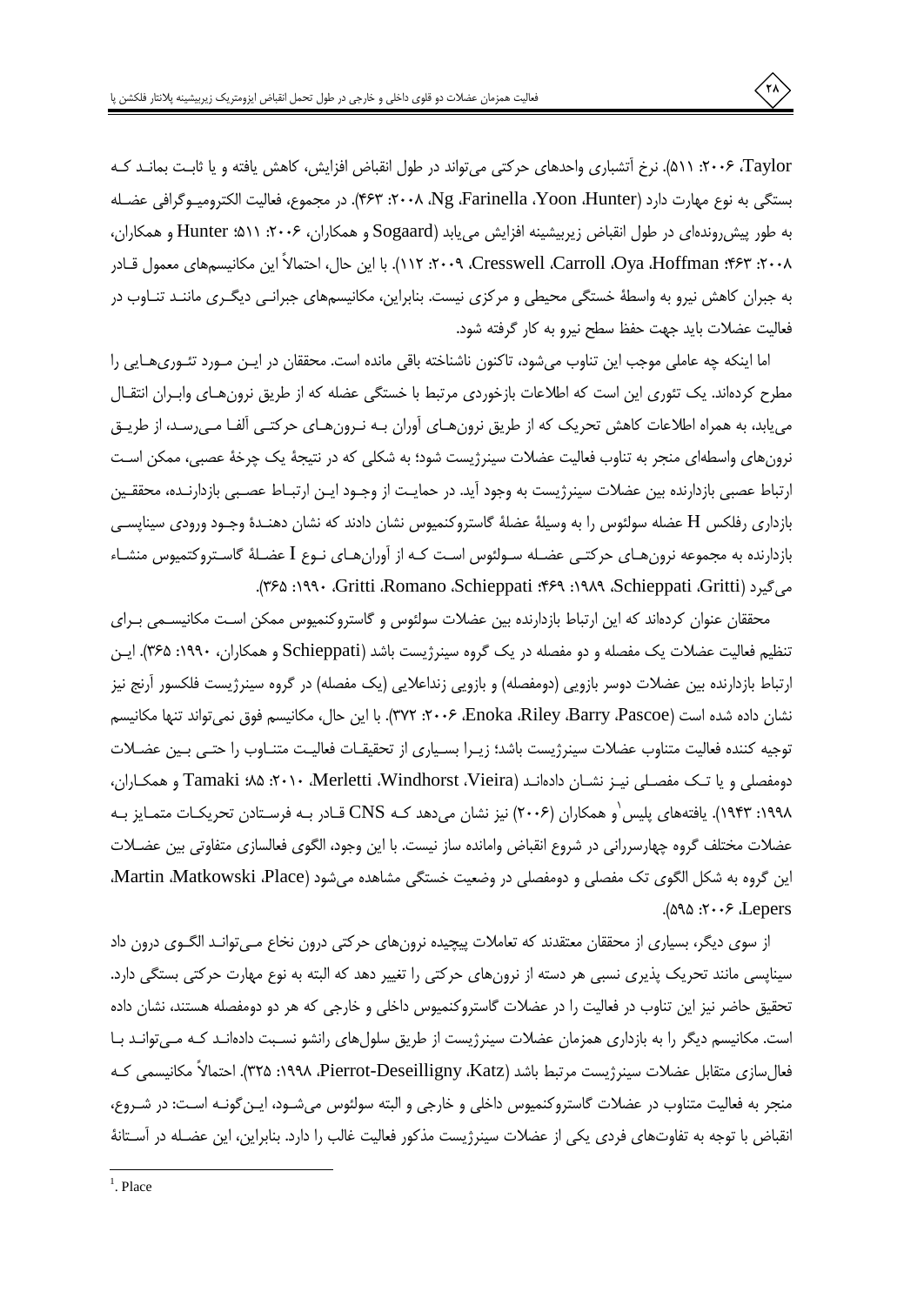Taylor، ۲۰۰۶: ۵۱۱). نرخ آتشباری واحدهای حرکتی می تواند در طول انقباض افزایش، کاهش یافته و یا ثابت بمانـد کـه بستگی به نوع مهارت دارد (Yoon ،Hunter، ۲۰۰۸، Ng ،Farinella، Yoon، در مجموع، فعالیت الکترومیـوگرافی عضـله به طور پیش روندهای در طول انقباض زیربیشینه افزایش می یابد (Sogaard و همکاران، ۲۰۰۶: ۱۱۵: Hunter و همکاران، ٢٠٠٨: ٢۶٣: Oya ،Hoffman، 27٣: ١١٢، 1١٣). با اين حال، احتمالاً اين مكانيسمهاي معمول قـادر به جبران کاهش نیرو به واسطهٔ خستگی محیطی و مرکزی نیست. بنابراین، مکانیسمهای جبرانـی دیگـری ماننـد تنـاوب در فعاليت عضلات بايد جهت حفظ سطح نيرو به كار گرفته شود.

اما اینکه چه عاملی موجب این تناوب میشود، تاکنون ناشناخته باقی مانده است. محققان در ایـن مـورد تئـوریِهـایی را مطرح کردهاند. یک تئوری این است که اطلاعات بازخوردی مرتبط با خستگی عضله که از طریق نرون هـای وابـران انتقـال می یابد، به همراه اطلاعات کاهش تحریک که از طریق نرون هـای آوران بـه نـرون هـای حرکتـی آلفـا مـی(سـد، از طریـق نرونهای واسطهای منجر به تناوب فعالیت عضلات سینرژیست شود؛ به شکلی که در نتیجهٔ یک چرخهٔ عصبی، ممکن اسـت ارتباط عصبی بازدارنده بین عضلات سینرژیست به وجود آید. در حمایـت از وجـود ایـن ارتبـاط عصـبی بازدارنـده، محققـین بازداری رفلکس H عضله سولئوس را به وسیلهٔ عضلهٔ گاستروکنمیوس نشان دادند که نشان دهنـدهٔ وجـود ورودی سیناپســی بازدارنده به مجموعه نرون هـاي حركتـي عضـله سـولئوس اسـت كـه از أوران هـاي نـوع I عضـلهٔ گاسـتروكتميوس منشـاء می گیرد (Schieppati، Gritti، Romano Schieppati، ۱۹۸۹، ۱۹۹۰، ۲۶۵۱. ۳۶۵).

محققان عنوان کردهاند که این ارتباط بازدارنده بین عضلات سولئوس و گاستروکنمیوس ممکن است مکانیسـمی بـرای تنظیم فعالیت عضلات یک مفصله و دو مفصله در یک گروه سینرژیست باشد (Schieppati و همکاران، ۱۹۹۰: ۳۶۵). ایـن ارتباط بازدارنده بین عضلات دوسر بازویی (دومفصله) و بازویی زنداعلایی (یک مفصله) در گروه سینرژیست فلکسور آرنج نیز نشان داده شده است (Enoka ،Riley ،Barry ،Pascoe، ۲۰۰۶: ۳۷۲). با این حال، مکانیسم فوق نمی تواند تنها مکانیسم توجيه كننده فعاليت متناوب عضلات سينرژيست باشد؛ زيـرا بسـياري از تحقيقـات فعاليـت متنــاوب را حتــى بـين عضــلات دومفصلی و یا تـک مفصـلی نیـز نشـان دادهانـد (Tamaki :۸۵ :۲۰۱۰ ،Merletti ،Windhorst ،Vieira و همکـاران، ۱۹۹۸: ۱۹۴۳). یافتههای پلیس و همکاران (۲۰۰۶) نیز نشان میدهد کـه CNS قـادر بـه فرسـتادن تحریکـات متمـایز بـه عضلات مختلف گروه چهارسررانی در شروع انقباض وامانده ساز نیست. با این وجود، الگوی فعالسازی متفاوتی بین عضـلات این گروه به شکل الگوی تک مفصلی و دومفصلی در وضعیت خستگی مشاهده میشود (Martin Matkowski ،Place،  $(0.003.7 \cdot 5)$ . Lepers

از سوی دیگر، بسیاری از محققان معتقدند که تعاملات پیچیده نرونهای حرکتی درون نخاع مـیتوانـد الگــوی درون داد سیناپسی مانند تحریک پذیری نسبی هر دسته از نرونهای حرکتی را تغییر دهد که البته به نوع مهارت حرکتی بستگی دارد. تحقیق حاضر نیز این تناوب در فعالیت را در عضلات گاستروکنمیوس داخلی و خارجی که هر دو دومفصله هستند، نشان داده است. مکانیسم دیگر را به بازداری همزمان عضلات سینرژیست از طریق سلولهای رانشو نسـبت دادهانـد کـه مـی¤وانـد بـا فعالسازي متقابل عضلات سينرژيست مرتبط باشد (Pierrot-Deseilligny ،Katz، ١٩٩٨: ٣٢۵). احتمالاً مكانيسمي كـه منجر به فعالیت متناوب در عضلات گاستروکنمیوس داخلی و خارجی و البته سولئوس میشــود، ایــن گونــه اسـت: در شــروع، انقباض با توجه به تفاوتهای فردی یکی از عضلات سینرژیست مذکور فعالیت غالب را دارد. بنابراین، این عضـله در آسـتانهٔ

 $<sup>1</sup>$ . Place</sup>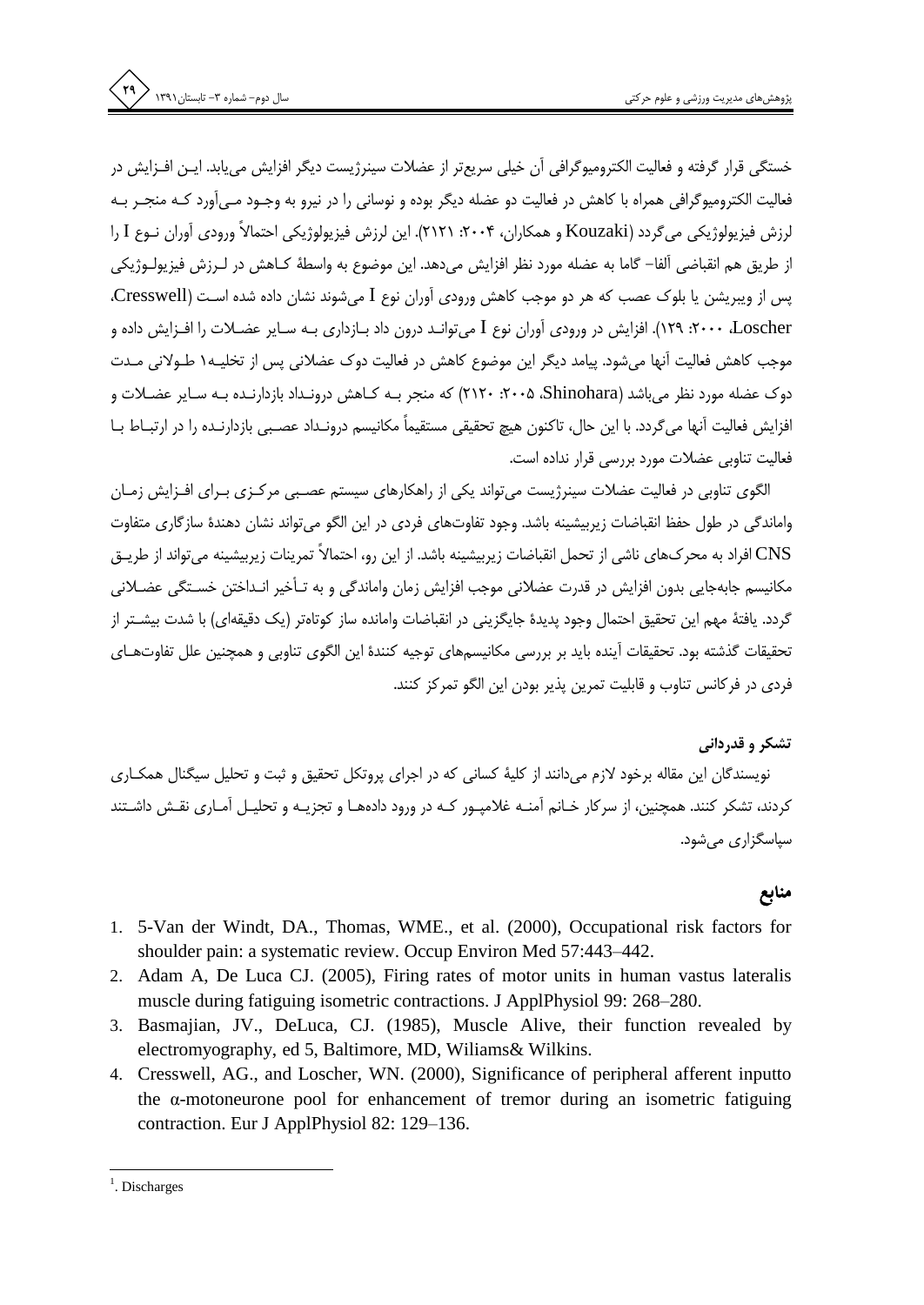خستگی قرار گرفته و فعالیت الکترومبوگرافی آن خیلی سریعتر از عضلات سینرژیست دیگر افزایش می یابد. ایـن افـزایش در فعالیت الکترومیوگرافی همراه با کاهش در فعالیت دو عضله دیگر بوده و نوسانی را در نیرو به وجـود مـی|َورد کـه منجـر بـه لرزش فيزيولوژيكي مي گردد (Kouzaki و همكاران، ۲۰۰۴: ۲۱۲۱). اين لرزش فيزيولوژيكي احتمالاً ورودي آوران نـوع I را از طريق هم انقباضي آلفا– گاما به عضله مورد نظر افزايش مي دهد. اين موضوع به واسطهٔ كــاهش در لــرزش فيزيولــوژيكي يس از ويبريشن يا بلوک عصب که هر دو موجب کاهش ورودي آوران نوع I مي شوند نشان داده شده است (Cresswell، Loscher). ۱۲۹۰: ۲۰۰۹). افزایش در ورودی آوران نوع I می توانـد درون داد بـازداری بـه سـایر عضـلات را افـزایش داده و موجب كاهش فعاليت آنها مي شود. پيامد ديگر اين موضوع كاهش در فعاليت دوک عضلاني پس از تخليـه١ طـولاني مـدت دوک عضله مورد نظر می باشد (Shinohara، ۲۰۰۵، ۲۱۲۰) که منجر بـه کـاهش درونـداد بازدارنـده بـه سـایر عضـلات و افزایش فعالیت آنها می گردد. با این حال، تاکنون هیچ تحقیقی مستقیماً مکانیسم درونـداد عصـبی بازدارنـده را در ارتبـاط بـا فعالیت تناوبی عضلات مورد بررسی قرار نداده است.

الگوی تناوبی در فعالیت عضلات سینرژیست می¤واند یکی از راهکارهای سیستم عصـبی مرکـزی بـرای افـزایش زمـان واماندگی در طول حفظ انقباضات زیربیشینه باشد. وجود تفاوتهای فردی در این الگو می تواند نشان دهندهٔ سازگاری متفاوت CNS افراد به محرکهای ناشی از تحمل انقباضات زیربیشینه باشد. از این رو، احتمالاً تمرینات زیربیشینه می تواند از طریـق مکانیسم جابهجایی بدون افزایش در قدرت عضلانی موجب افزایش زمان واماندگی و به تـأخیر انـداختن خسـتگی عضـلانی گردد. یافتهٔ مهم این تحقیق احتمال وجود پدیدهٔ جایگزینی در انقباضات وامانده ساز کوتاهتر (یک دقیقهای) با شدت بیشـتر از تحقیقات گذشته بود. تحقیقات آینده باید بر بررسی مکانیسمهای توجیه کنندهٔ این الگوی تناوبی و همچنین علل تفاوتهـای فردي در فركانس تناوب و قابليت تمرين يذير بودن اين الگو تمركز كنند.

#### تشکر و قدردانی

نویسندگان این مقاله برخود لازم میدانند از کلیهٔ کسانی که در اجرای پروتکل تحقیق و ثبت و تحلیل سیگنال همکاری کردند، تشکر کنند. همچنین، از سرکار خـانم آمنـه غلامپـور کـه در ورود دادههـا و تجزیـه و تحلیـل آمـاری نقـش داشـتند سپاسگزاری می شود.

#### منابع

- 1. 5-Van der Windt, DA., Thomas, WME., et al. (2000), Occupational risk factors for shoulder pain: a systematic review. Occup Environ Med 57:443-442.
- 2. Adam A, De Luca CJ. (2005), Firing rates of motor units in human vastus lateralis muscle during fatiguing isometric contractions. J ApplPhysiol 99: 268–280.
- 3. Basmajian, JV., DeLuca, CJ. (1985), Muscle Alive, their function revealed by electromyography, ed 5, Baltimore, MD, Wiliams& Wilkins.
- 4. Cresswell, AG., and Loscher, WN. (2000), Significance of peripheral afferent inputto the α-motoneurone pool for enhancement of tremor during an isometric fatiguing contraction. Eur J ApplPhysiol 82: 129-136.

 $<sup>1</sup>$ . Discharges</sup>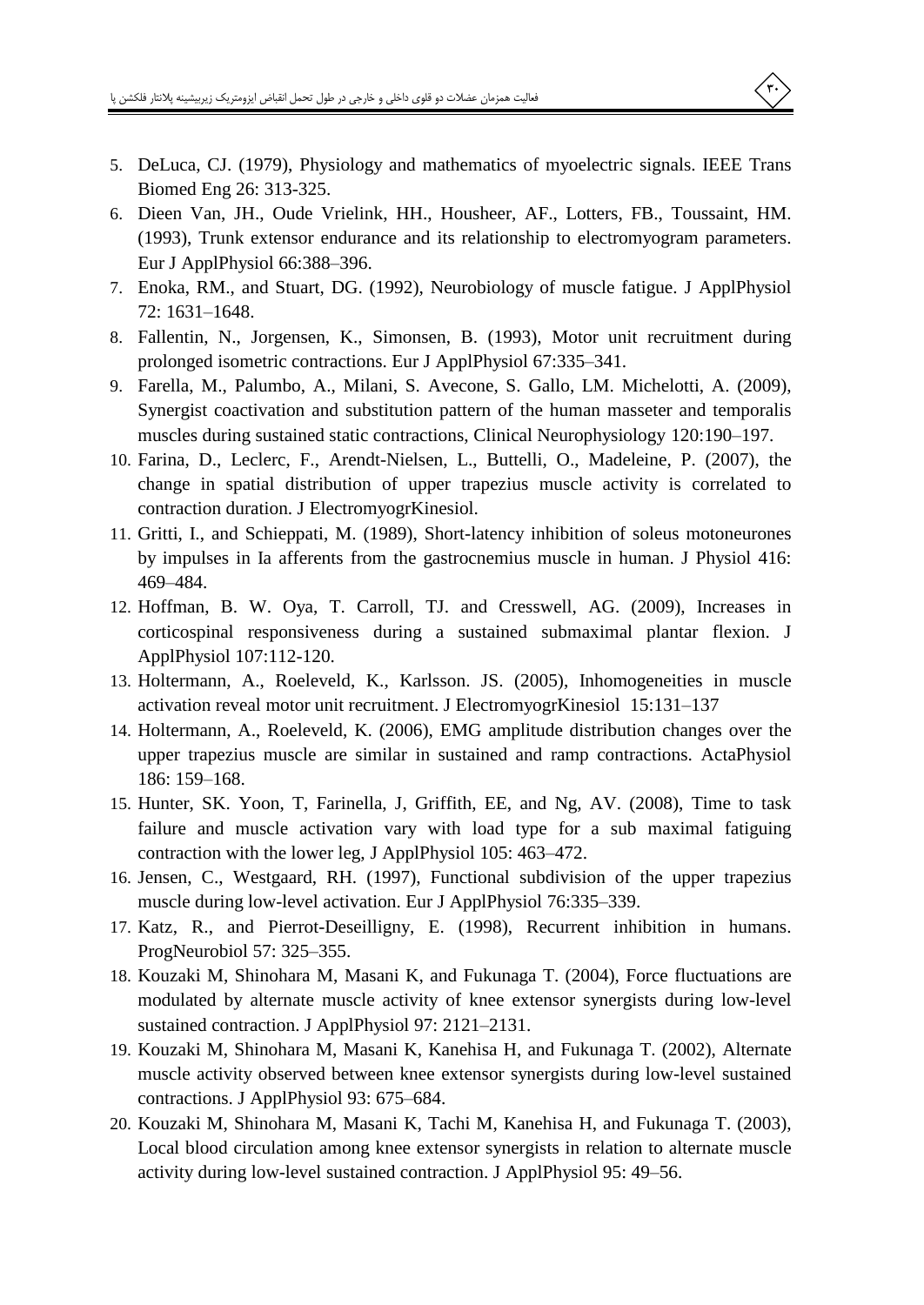- 5. DeLuca, CJ. (1979), Physiology and mathematics of myoelectric signals. IEEE Trans Biomed Eng 26: 313-325.
- 6. Dieen Van, JH., Oude Vrielink, HH., Housheer, AF., Lotters, FB., Toussaint, HM. (1993), Trunk extensor endurance and its relationship to electromyogram parameters. Eur J ApplPhysiol 66:388-396.
- 7. Enoka, RM., and Stuart, DG. (1992), Neurobiology of muscle fatigue. J ApplPhysiol 72: 1631-1648.
- 8. Fallentin, N., Jorgensen, K., Simonsen, B. (1993), Motor unit recruitment during prolonged isometric contractions. Eur J ApplPhysiol 67:335–341.
- 9. Farella, M., Palumbo, A., Milani, S. Avecone, S. Gallo, LM. Michelotti, A. (2009), Synergist coactivation and substitution pattern of the human masseter and temporalis muscles during sustained static contractions, Clinical Neurophysiology 120:190-197.
- 10. Farina, D., Leclerc, F., Arendt-Nielsen, L., Buttelli, O., Madeleine, P. (2007), the change in spatial distribution of upper trapezius muscle activity is correlated to contraction duration. J ElectromyogrKinesiol.
- 11. Gritti, I., and Schieppati, M. (1989), Short-latency inhibition of soleus motoneurones by impulses in Ia afferents from the gastrocnemius muscle in human. J Physiol 416: 469-484.
- 12. Hoffman, B. W. Oya, T. Carroll, TJ. and Cresswell, AG. (2009), Increases in corticospinal responsiveness during a sustained submaximal plantar flexion. J ApplPhysiol 107:112-120.
- 13. Holtermann, A., Roeleveld, K., Karlsson. JS. (2005), Inhomogeneities in muscle activation reveal motor unit recruitment. J ElectromyogrKinesiol 15:131-137
- 14. Holtermann, A., Roeleveld, K. (2006), EMG amplitude distribution changes over the upper trapezius muscle are similar in sustained and ramp contractions. ActaPhysiol 186: 159-168.
- 15. Hunter, SK. Yoon, T, Farinella, J, Griffith, EE, and Ng, AV. (2008), Time to task failure and muscle activation vary with load type for a sub maximal fatiguing contraction with the lower leg, J ApplPhysiol 105: 463–472.
- 16. Jensen, C., Westgaard, RH. (1997), Functional subdivision of the upper trapezius muscle during low-level activation. Eur J ApplPhysiol 76:335–339.
- 17. Katz, R., and Pierrot-Deseilligny, E. (1998), Recurrent inhibition in humans. ProgNeurobiol 57: 325-355.
- 18. Kouzaki M, Shinohara M, Masani K, and Fukunaga T. (2004), Force fluctuations are modulated by alternate muscle activity of knee extensor synergists during low-level sustained contraction. J ApplPhysiol 97: 2121-2131.
- 19. Kouzaki M, Shinohara M, Masani K, Kanehisa H, and Fukunaga T. (2002), Alternate muscle activity observed between knee extensor synergists during low-level sustained contractions. J ApplPhysiol 93: 675–684.
- 20. Kouzaki M, Shinohara M, Masani K, Tachi M, Kanehisa H, and Fukunaga T. (2003), Local blood circulation among knee extensor synergists in relation to alternate muscle activity during low-level sustained contraction. J ApplPhysiol 95: 49–56.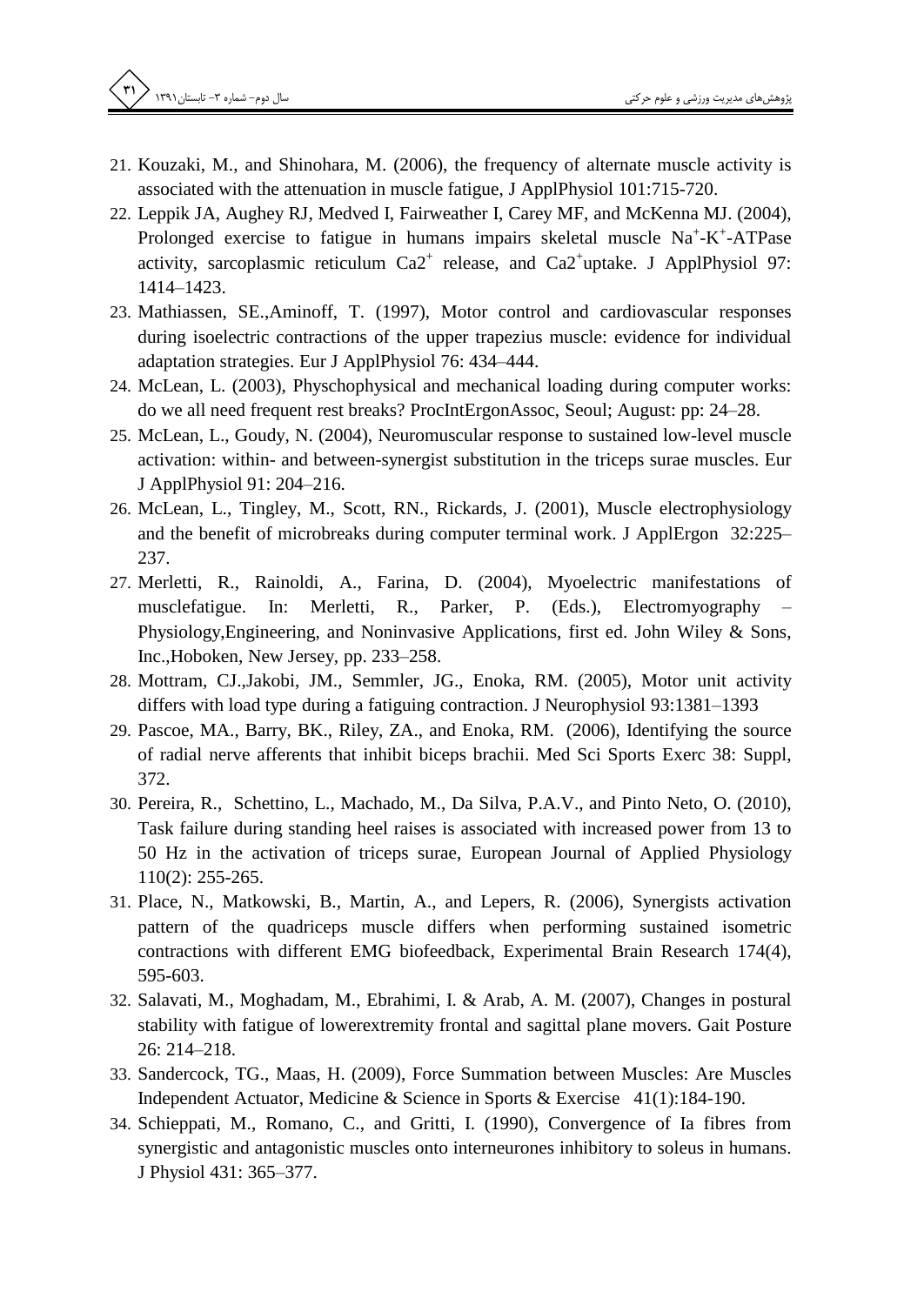- 21. Kouzaki, M., and Shinohara, M. (2006), the frequency of alternate muscle activity is associated with the attenuation in muscle fatigue, J ApplPhysiol 101:715-720.
- 22. Leppik JA, Aughey RJ, Medved I, Fairweather I, Carey MF, and McKenna MJ. (2004), Prolonged exercise to fatigue in humans impairs skeletal muscle  $Na<sup>+</sup>-K<sup>+</sup>-ATPase$ activity, sarcoplasmic reticulum  $Ca2^+$  release, and  $Ca2^+$ uptake. J ApplPhysiol 97: 1414-1423.
- 23. Mathiassen, SE., Aminoff, T. (1997), Motor control and cardiovascular responses during isoelectric contractions of the upper trapezius muscle: evidence for individual adaptation strategies. Eur J ApplPhysiol 76: 434-444.
- 24. McLean, L. (2003), Physchophysical and mechanical loading during computer works: do we all need frequent rest breaks? ProcIntErgonAssoc, Seoul; August: pp: 24–28.
- 25. McLean, L., Goudy, N. (2004), Neuromuscular response to sustained low-level muscle activation: within- and between-synergist substitution in the triceps surae muscles. Eur J ApplPhysiol 91: 204-216.
- 26. McLean, L., Tingley, M., Scott, RN., Rickards, J. (2001), Muscle electrophysiology and the benefit of microbreaks during computer terminal work. J ApplErgon 32:225-237.
- 27. Merletti, R., Rainoldi, A., Farina, D. (2004), Myoelectric manifestations of  $In:$ Merletti, R., Parker, (Eds.), Electromyography musclefatigue. **P.** Physiology, Engineering, and Noninvasive Applications, first ed. John Wiley & Sons, Inc., Hoboken, New Jersey, pp. 233-258.
- 28. Mottram, CJ.,Jakobi, JM., Semmler, JG., Enoka, RM. (2005), Motor unit activity differs with load type during a fatiguing contraction. J Neurophysiol 93:1381-1393
- 29. Pascoe, MA., Barry, BK., Riley, ZA., and Enoka, RM. (2006), Identifying the source of radial nerve afferents that inhibit biceps brachii. Med Sci Sports Exerc 38: Suppl, 372.
- 30. Pereira, R., Schettino, L., Machado, M., Da Silva, P.A.V., and Pinto Neto, O. (2010), Task failure during standing heel raises is associated with increased power from 13 to 50 Hz in the activation of triceps surae, European Journal of Applied Physiology  $110(2)$ : 255-265.
- 31. Place, N., Matkowski, B., Martin, A., and Lepers, R. (2006), Synergists activation pattern of the quadriceps muscle differs when performing sustained isometric contractions with different EMG biofeedback, Experimental Brain Research 174(4), 595-603.
- 32. Salavati, M., Moghadam, M., Ebrahimi, I. & Arab, A. M. (2007), Changes in postural stability with fatigue of lowerextremity frontal and sagittal plane movers. Gait Posture 26: 214-218.
- 33. Sandercock, TG., Maas, H. (2009), Force Summation between Muscles: Are Muscles Independent Actuator, Medicine & Science in Sports & Exercise 41(1):184-190.
- 34. Schieppati, M., Romano, C., and Gritti, I. (1990), Convergence of Ia fibres from synergistic and antagonistic muscles onto interneurones inhibitory to soleus in humans. J Physiol 431: 365-377.